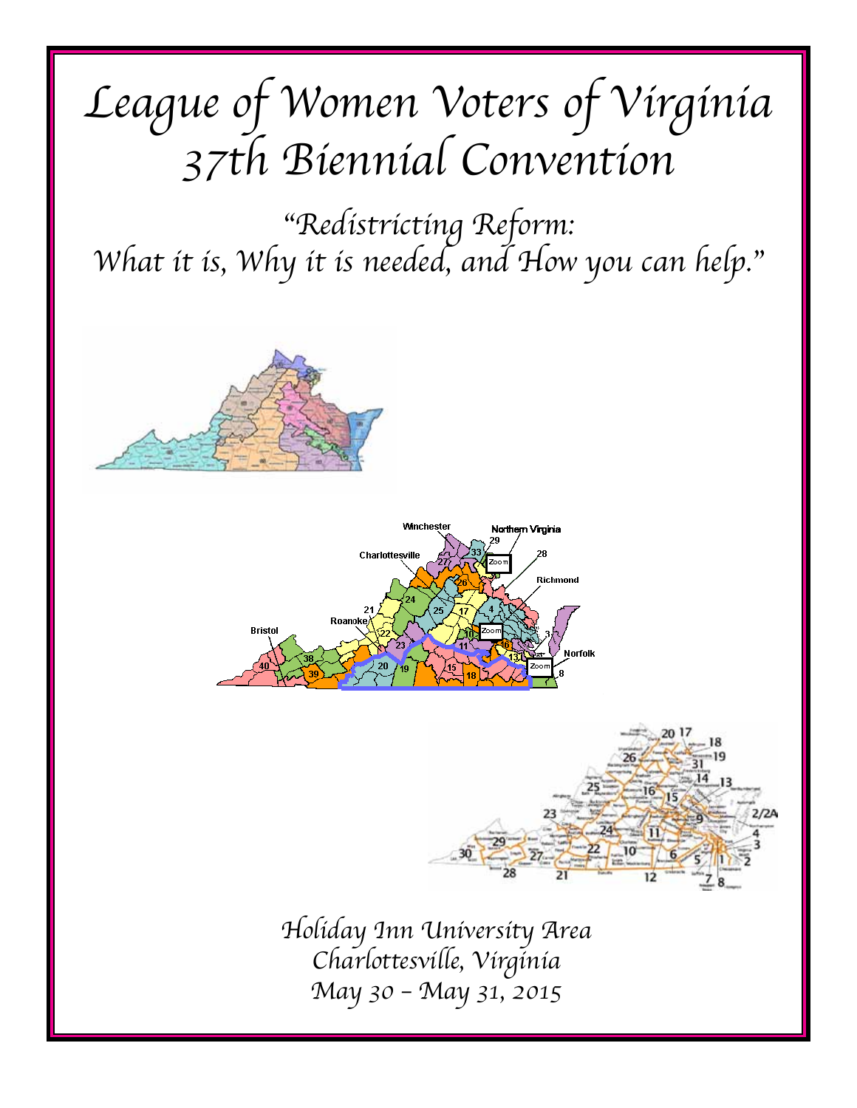# *League of Women Voters of Virginia 37th Biennial Convention*

*"Redistricting Reform: What it is, Why it is needed, and How you can help."*







*Holiday Inn University Area Charlottesville, Virginia May 30 – May 31, 2015*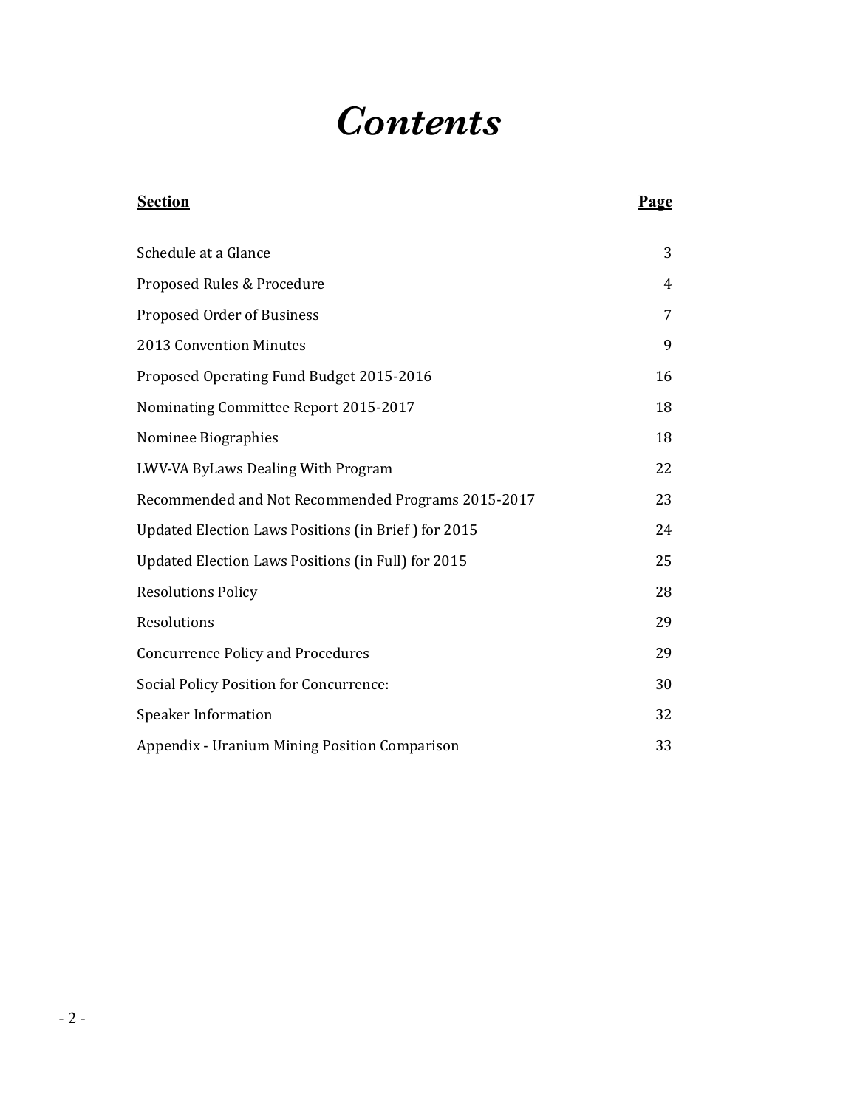# *Contents*

| <b>Section</b>                                      | Page |
|-----------------------------------------------------|------|
| Schedule at a Glance                                | 3    |
| Proposed Rules & Procedure                          | 4    |
| Proposed Order of Business                          | 7    |
| 2013 Convention Minutes                             | 9    |
| Proposed Operating Fund Budget 2015-2016            | 16   |
| Nominating Committee Report 2015-2017               | 18   |
| Nominee Biographies                                 | 18   |
| LWV-VA ByLaws Dealing With Program                  | 22   |
| Recommended and Not Recommended Programs 2015-2017  | 23   |
| Updated Election Laws Positions (in Brief) for 2015 | 24   |
| Updated Election Laws Positions (in Full) for 2015  | 25   |
| <b>Resolutions Policy</b>                           | 28   |
| Resolutions                                         | 29   |
| <b>Concurrence Policy and Procedures</b>            | 29   |
| <b>Social Policy Position for Concurrence:</b>      | 30   |
| <b>Speaker Information</b>                          | 32   |
| Appendix - Uranium Mining Position Comparison       | 33   |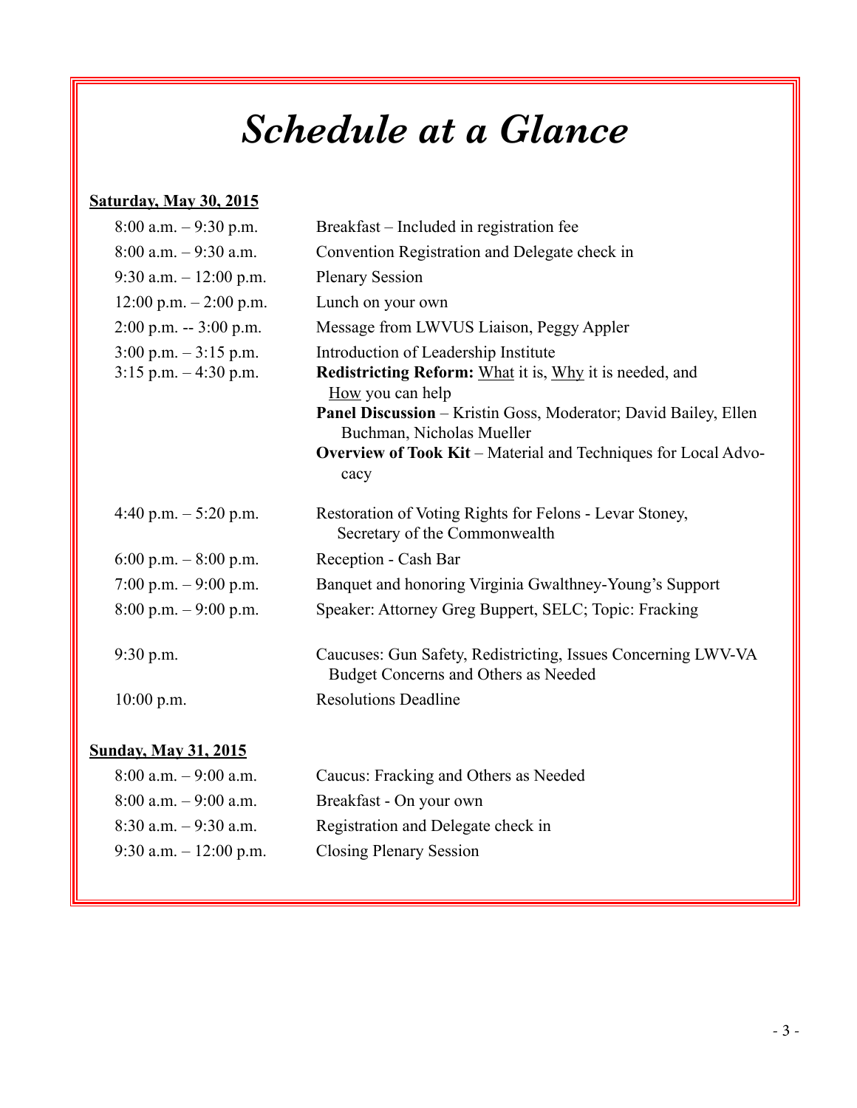# *Schedule at a Glance*

# **Saturday, May 30, 2015**

| $8:00$ a.m. $-9:30$ p.m.    | Breakfast – Included in registration fee                                                              |
|-----------------------------|-------------------------------------------------------------------------------------------------------|
| $8:00$ a.m. $-9:30$ a.m.    | Convention Registration and Delegate check in                                                         |
| 9:30 a.m. $-12:00$ p.m.     | <b>Plenary Session</b>                                                                                |
| $12:00$ p.m. $-2:00$ p.m.   | Lunch on your own                                                                                     |
| $2:00$ p.m. $-3:00$ p.m.    | Message from LWVUS Liaison, Peggy Appler                                                              |
| $3:00$ p.m. $-3:15$ p.m.    | Introduction of Leadership Institute                                                                  |
| $3:15$ p.m. $-4:30$ p.m.    | Redistricting Reform: What it is, Why it is needed, and<br>How you can help                           |
|                             | Panel Discussion - Kristin Goss, Moderator; David Bailey, Ellen<br>Buchman, Nicholas Mueller          |
|                             | Overview of Took Kit - Material and Techniques for Local Advo-<br>cacy                                |
| 4:40 p.m. $-5:20$ p.m.      | Restoration of Voting Rights for Felons - Levar Stoney,<br>Secretary of the Commonwealth              |
| 6:00 p.m. $-8:00$ p.m.      | Reception - Cash Bar                                                                                  |
| 7:00 p.m. $-9:00$ p.m.      | Banquet and honoring Virginia Gwalthney-Young's Support                                               |
| $8:00$ p.m. $-9:00$ p.m.    | Speaker: Attorney Greg Buppert, SELC; Topic: Fracking                                                 |
| $9:30$ p.m.                 | Caucuses: Gun Safety, Redistricting, Issues Concerning LWV-VA<br>Budget Concerns and Others as Needed |
| $10:00$ p.m.                | <b>Resolutions Deadline</b>                                                                           |
| <b>Sunday, May 31, 2015</b> |                                                                                                       |
| $8:00$ a.m. $-9:00$ a.m.    | Caucus: Fracking and Others as Needed                                                                 |
| $8:00$ a.m. $-9:00$ a.m.    | Breakfast - On your own                                                                               |
|                             |                                                                                                       |

- 8:30 a.m. 9:30 a.m. Registration and Delegate check in
- 9:30 a.m. 12:00 p.m. Closing Plenary Session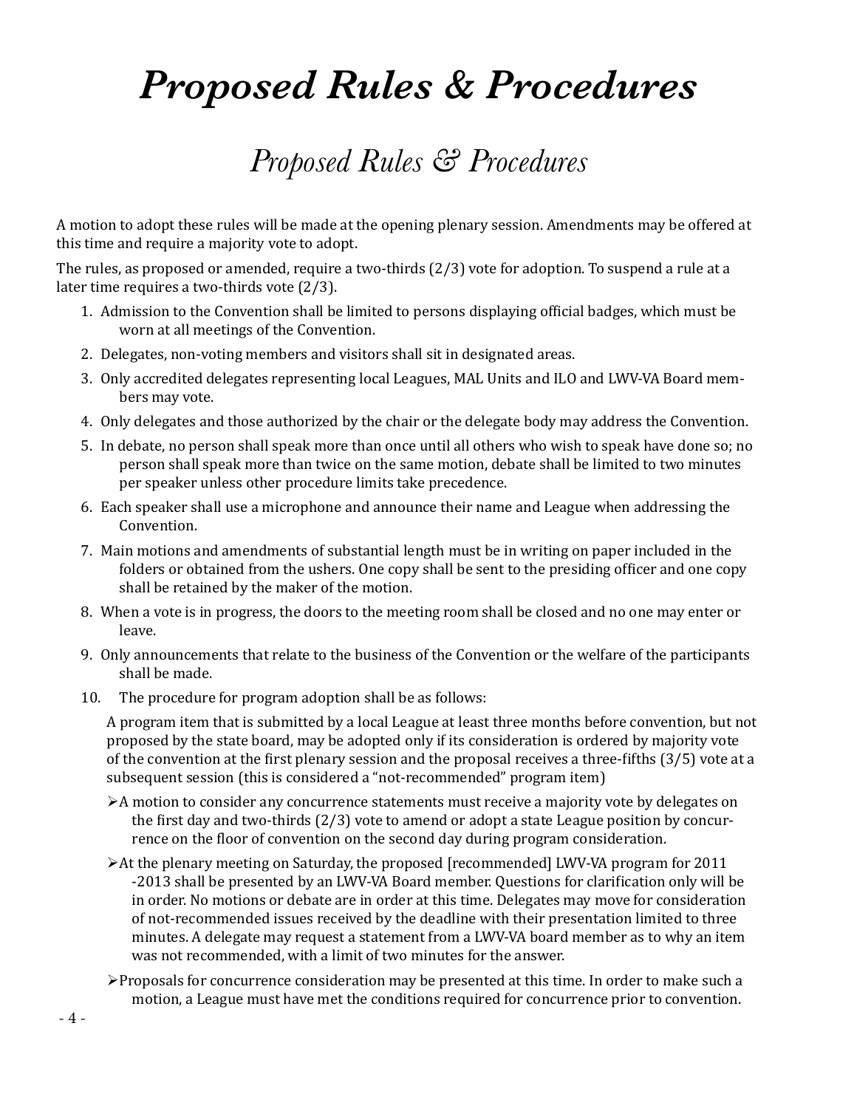# *Proposed Rules & Procedures*

# *Proposed Rules & Procedures*

A motion to adopt these rules will be made at the opening plenary session. Amendments may be offered at this time and require a majority vote to adopt.

The rules, as proposed or amended, require a two-thirds (2/3) vote for adoption. To suspend a rule at a later time requires a two-thirds vote (2/3).

- 1. Admission to the Convention shall be limited to persons displaying official badges, which must be worn at all meetings of the Convention.
- 2. Delegates, non-voting members and visitors shall sit in designated areas.
- 3. Only accredited delegates representing local Leagues, MAL Units and ILO and LWV-VA Board members may vote.
- 4. Only delegates and those authorized by the chair or the delegate body may address the Convention.
- 5. In debate, no person shall speak more than once until all others who wish to speak have done so; no person shall speak more than twice on the same motion, debate shall be limited to two minutes per speaker unless other procedure limits take precedence.
- 6. Each speaker shall use a microphone and announce their name and League when addressing the Convention.
- 7. Main motions and amendments of substantial length must be in writing on paper included in the folders or obtained from the ushers. One copy shall be sent to the presiding officer and one copy shall be retained by the maker of the motion.
- 8. When a vote is in progress, the doors to the meeting room shall be closed and no one may enter or leave.
- 9. Only announcements that relate to the business of the Convention or the welfare of the participants shall be made.
- 10. The procedure for program adoption shall be as follows:

A program item that is submitted by a local League at least three months before convention, but not proposed by the state board, may be adopted only if its consideration is ordered by majority vote of the convention at the first plenary session and the proposal receives a three-fifths (3/5) vote at a subsequent session (this is considered a "not-recommended" program item)

- $\triangleright$  A motion to consider any concurrence statements must receive a majority vote by delegates on the first day and two-thirds (2/3) vote to amend or adopt a state League position by concurrence on the floor of convention on the second day during program consideration.
- At the plenary meeting on Saturday, the proposed [recommended] LWV-VA program for 2011 -2013 shall be presented by an LWV-VA Board member. Questions for clarification only will be in order. No motions or debate are in order at this time. Delegates may move for consideration of not-recommended issues received by the deadline with their presentation limited to three minutes. A delegate may request a statement from a LWV-VA board member as to why an item was not recommended, with a limit of two minutes for the answer.
- $\triangleright$  Proposals for concurrence consideration may be presented at this time. In order to make such a motion, a League must have met the conditions required for concurrence prior to convention.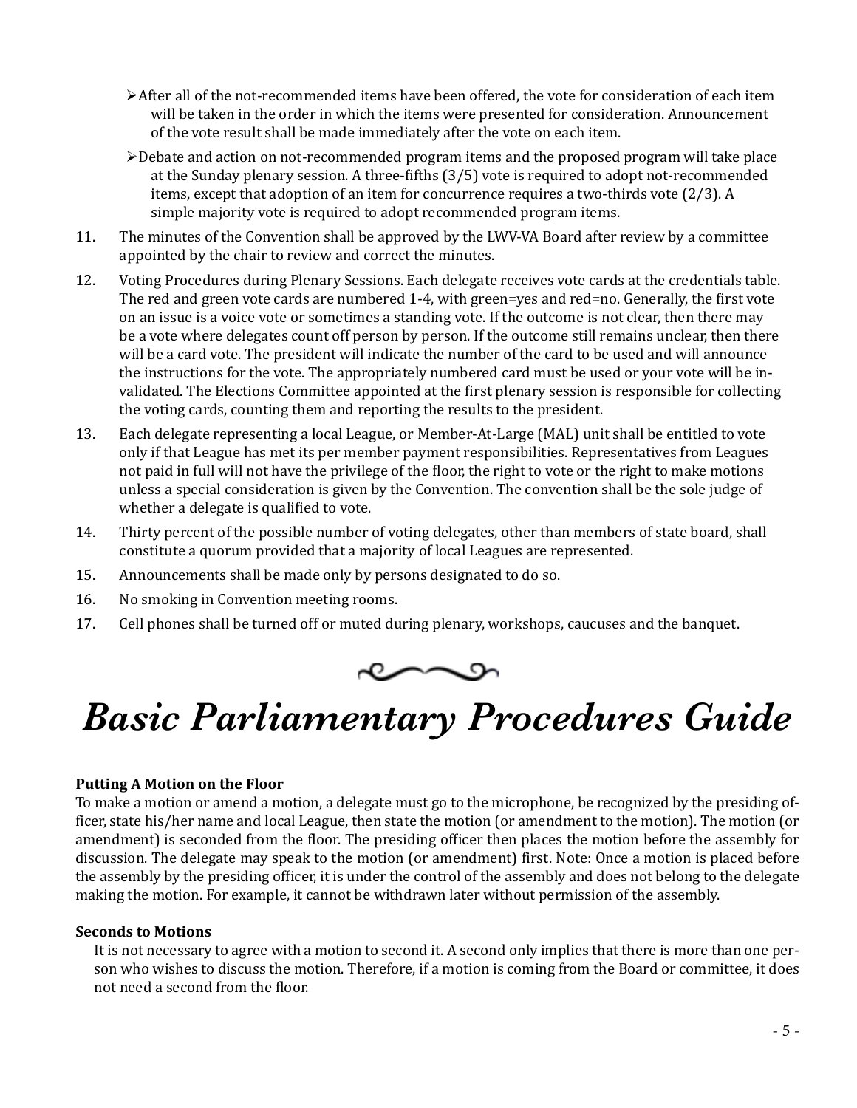- $\triangleright$  After all of the not-recommended items have been offered, the vote for consideration of each item will be taken in the order in which the items were presented for consideration. Announcement of the vote result shall be made immediately after the vote on each item.
- $\triangleright$  Debate and action on not-recommended program items and the proposed program will take place at the Sunday plenary session. A three-fifths (3/5) vote is required to adopt not-recommended items, except that adoption of an item for concurrence requires a two-thirds vote (2/3). A simple majority vote is required to adopt recommended program items.
- 11. The minutes of the Convention shall be approved by the LWV-VA Board after review by a committee appointed by the chair to review and correct the minutes.
- 12. Voting Procedures during Plenary Sessions. Each delegate receives vote cards at the credentials table. The red and green vote cards are numbered 1-4, with green=yes and red=no. Generally, the first vote on an issue is a voice vote or sometimes a standing vote. If the outcome is not clear, then there may be a vote where delegates count off person by person. If the outcome still remains unclear, then there will be a card vote. The president will indicate the number of the card to be used and will announce the instructions for the vote. The appropriately numbered card must be used or your vote will be invalidated. The Elections Committee appointed at the first plenary session is responsible for collecting the voting cards, counting them and reporting the results to the president.
- 13. Each delegate representing a local League, or Member-At-Large (MAL) unit shall be entitled to vote only if that League has met its per member payment responsibilities. Representatives from Leagues not paid in full will not have the privilege of the floor, the right to vote or the right to make motions unless a special consideration is given by the Convention. The convention shall be the sole judge of whether a delegate is qualified to vote.
- 14. Thirty percent of the possible number of voting delegates, other than members of state board, shall constitute a quorum provided that a majority of local Leagues are represented.
- 15. Announcements shall be made only by persons designated to do so.
- 16. No smoking in Convention meeting rooms.
- 17. Cell phones shall be turned off or muted during plenary, workshops, caucuses and the banquet.



# *Basic Parliamentary Procedures Guide*

# **Putting A Motion on the Floor**

To make a motion or amend a motion, a delegate must go to the microphone, be recognized by the presiding officer, state his/her name and local League, then state the motion (or amendment to the motion). The motion (or amendment) is seconded from the floor. The presiding officer then places the motion before the assembly for discussion. The delegate may speak to the motion (or amendment) first. Note: Once a motion is placed before the assembly by the presiding officer, it is under the control of the assembly and does not belong to the delegate making the motion. For example, it cannot be withdrawn later without permission of the assembly.

#### **Seconds to Motions**

It is not necessary to agree with a motion to second it. A second only implies that there is more than one person who wishes to discuss the motion. Therefore, if a motion is coming from the Board or committee, it does not need a second from the floor.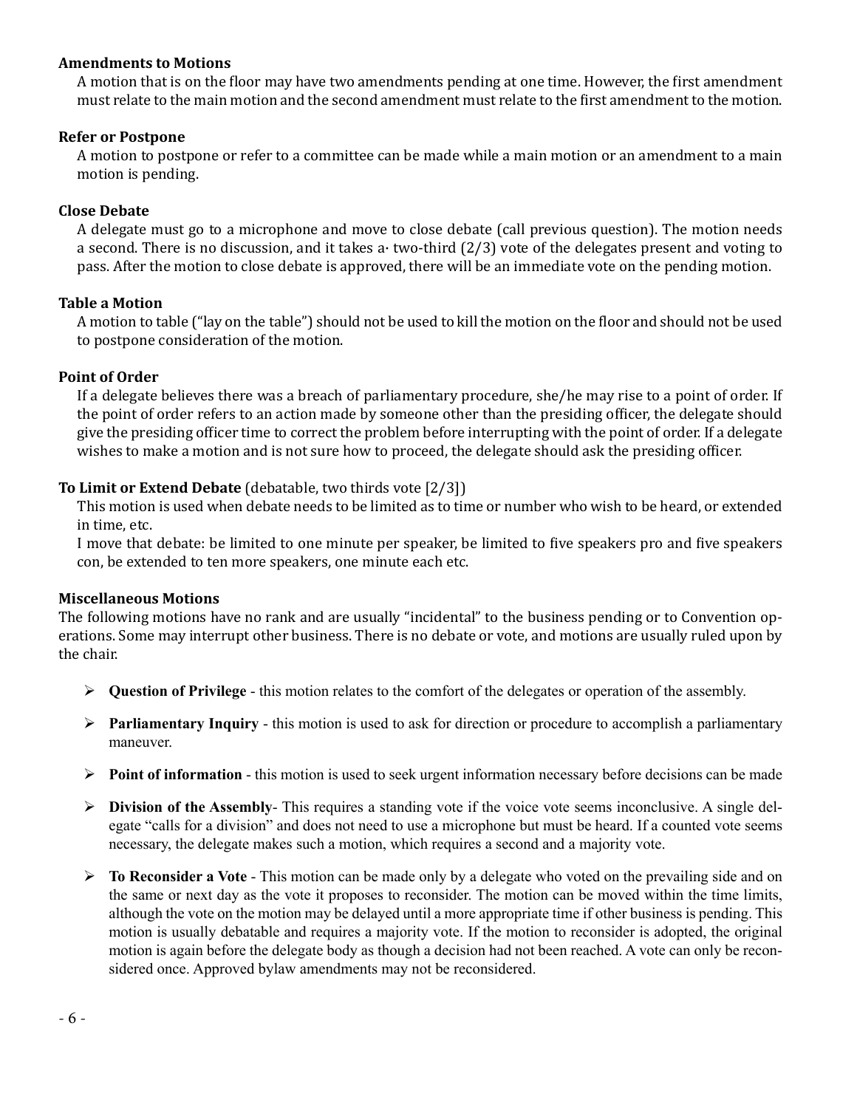### **Amendments to Motions**

A motion that is on the floor may have two amendments pending at one time. However, the first amendment must relate to the main motion and the second amendment must relate to the first amendment to the motion.

## **Refer or Postpone**

A motion to postpone or refer to a committee can be made while a main motion or an amendment to a main motion is pending.

## **Close Debate**

A delegate must go to a microphone and move to close debate (call previous question). The motion needs a second. There is no discussion, and it takes a two-third  $(2/3)$  vote of the delegates present and voting to pass. After the motion to close debate is approved, there will be an immediate vote on the pending motion.

## **Table a Motion**

A motion to table ("lay on the table") should not be used to kill the motion on the floor and should not be used to postpone consideration of the motion.

## **Point of Order**

If a delegate believes there was a breach of parliamentary procedure, she/he may rise to a point of order. If the point of order refers to an action made by someone other than the presiding officer, the delegate should give the presiding officer time to correct the problem before interrupting with the point of order. If a delegate wishes to make a motion and is not sure how to proceed, the delegate should ask the presiding officer.

# **To Limit or Extend Debate** (debatable, two thirds vote [2/3])

This motion is used when debate needs to be limited as to time or number who wish to be heard, or extended in time, etc.

I move that debate: be limited to one minute per speaker, be limited to five speakers pro and five speakers con, be extended to ten more speakers, one minute each etc.

#### **Miscellaneous Motions**

The following motions have no rank and are usually "incidental" to the business pending or to Convention operations. Some may interrupt other business. There is no debate or vote, and motions are usually ruled upon by the chair.

- $\triangleright$  Question of Privilege this motion relates to the comfort of the delegates or operation of the assembly.
- $\triangleright$  **Parliamentary Inquiry** this motion is used to ask for direction or procedure to accomplish a parliamentary maneuver.
- $\triangleright$  **Point of information** this motion is used to seek urgent information necessary before decisions can be made
- $\triangleright$  **Division of the Assembly-** This requires a standing vote if the voice vote seems inconclusive. A single delegate "calls for a division" and does not need to use a microphone but must be heard. If a counted vote seems necessary, the delegate makes such a motion, which requires a second and a majority vote.
- **Fo Reconsider a Vote** This motion can be made only by a delegate who voted on the prevailing side and on the same or next day as the vote it proposes to reconsider. The motion can be moved within the time limits, although the vote on the motion may be delayed until a more appropriate time if other business is pending. This motion is usually debatable and requires a majority vote. If the motion to reconsider is adopted, the original motion is again before the delegate body as though a decision had not been reached. A vote can only be reconsidered once. Approved bylaw amendments may not be reconsidered.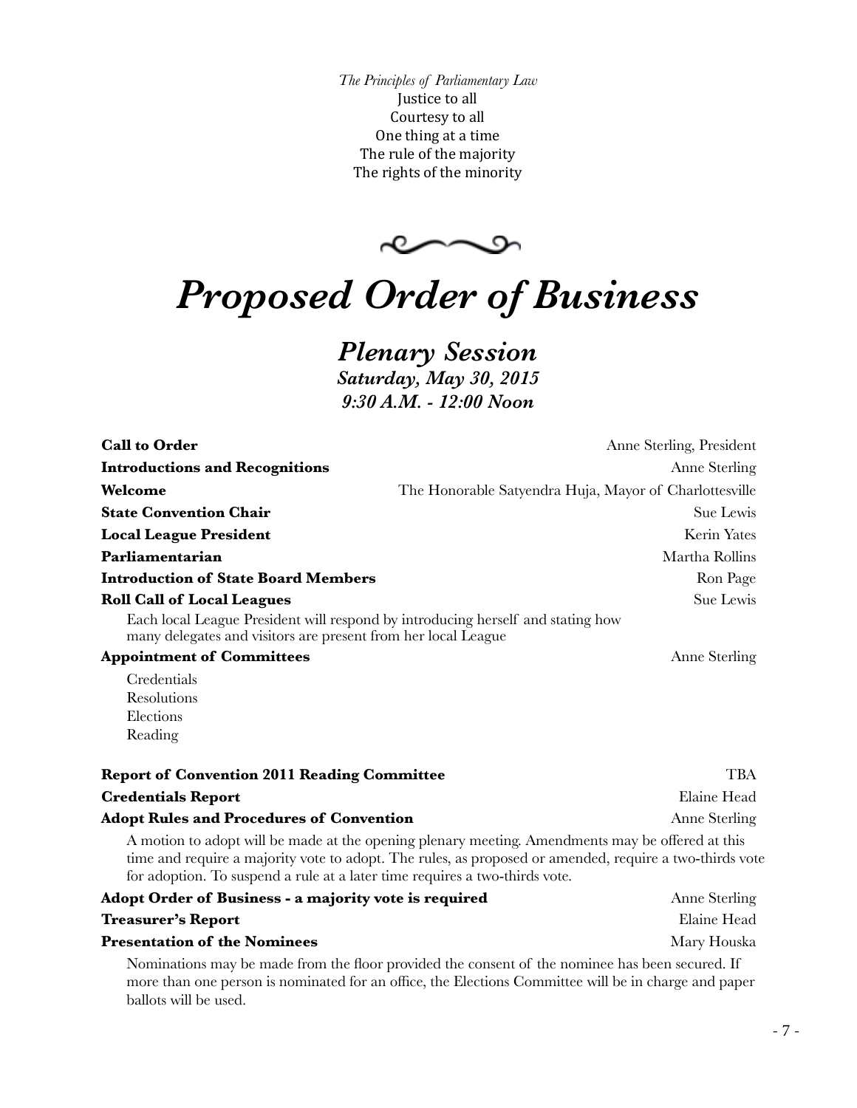*The Principles of Parliamentary Law* Justice to all Courtesy to all One thing at a time The rule of the majority The rights of the minority

 $\sim$ 

# *Proposed Order of Business*

# *Plenary Session*

*Saturday, May 30, 2015 9:30 A.M. - 12:00 Noon*

| <b>Call to Order</b>                                                                                                                             | Anne Sterling, President                                                                                                                                                                                    |
|--------------------------------------------------------------------------------------------------------------------------------------------------|-------------------------------------------------------------------------------------------------------------------------------------------------------------------------------------------------------------|
| <b>Introductions and Recognitions</b>                                                                                                            | Anne Sterling                                                                                                                                                                                               |
| Welcome                                                                                                                                          | The Honorable Satyendra Huja, Mayor of Charlottesville                                                                                                                                                      |
| <b>State Convention Chair</b>                                                                                                                    | Sue Lewis                                                                                                                                                                                                   |
| <b>Local League President</b>                                                                                                                    | Kerin Yates                                                                                                                                                                                                 |
| Parliamentarian                                                                                                                                  | Martha Rollins                                                                                                                                                                                              |
| <b>Introduction of State Board Members</b>                                                                                                       | Ron Page                                                                                                                                                                                                    |
| <b>Roll Call of Local Leagues</b>                                                                                                                | Sue Lewis                                                                                                                                                                                                   |
| Each local League President will respond by introducing herself and stating how<br>many delegates and visitors are present from her local League |                                                                                                                                                                                                             |
| <b>Appointment of Committees</b>                                                                                                                 | Anne Sterling                                                                                                                                                                                               |
| Credentials                                                                                                                                      |                                                                                                                                                                                                             |
| Resolutions                                                                                                                                      |                                                                                                                                                                                                             |
| Elections                                                                                                                                        |                                                                                                                                                                                                             |
| Reading                                                                                                                                          |                                                                                                                                                                                                             |
| <b>Report of Convention 2011 Reading Committee</b>                                                                                               | <b>TBA</b>                                                                                                                                                                                                  |
| <b>Credentials Report</b>                                                                                                                        | Elaine Head                                                                                                                                                                                                 |
| <b>Adopt Rules and Procedures of Convention</b>                                                                                                  | Anne Sterling                                                                                                                                                                                               |
| for adoption. To suspend a rule at a later time requires a two-thirds vote.                                                                      | A motion to adopt will be made at the opening plenary meeting. Amendments may be offered at this<br>time and require a majority vote to adopt. The rules, as proposed or amended, require a two-thirds vote |
| Adopt Order of Business - a majority vote is required                                                                                            | Anne Sterling                                                                                                                                                                                               |
| <b>Treasurer's Report</b>                                                                                                                        | Elaine Head                                                                                                                                                                                                 |
| <b>Presentation of the Nominees</b>                                                                                                              | Mary Houska                                                                                                                                                                                                 |

Nominations may be made from the floor provided the consent of the nominee has been secured. If more than one person is nominated for an office, the Elections Committee will be in charge and paper ballots will be used.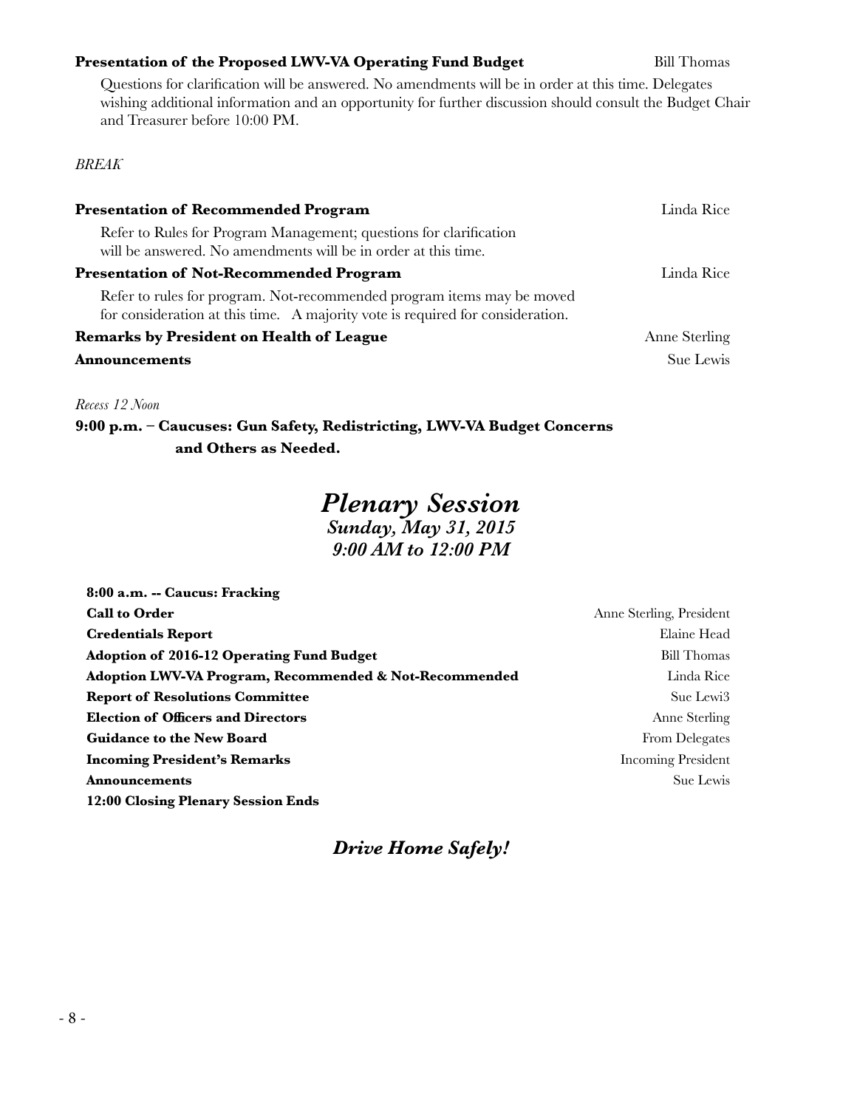# **Presentation of the Proposed LWV-VA Operating Fund Budget Bill Thomas**

Questions for clarification will be answered. No amendments will be in order at this time. Delegates wishing additional information and an opportunity for further discussion should consult the Budget Chair and Treasurer before 10:00 PM.

# *BREAK*

| <b>Presentation of Recommended Program</b>                                                                                                               | Linda Rice    |
|----------------------------------------------------------------------------------------------------------------------------------------------------------|---------------|
| Refer to Rules for Program Management; questions for clarification<br>will be answered. No amendments will be in order at this time.                     |               |
| <b>Presentation of Not-Recommended Program</b>                                                                                                           | Linda Rice    |
| Refer to rules for program. Not-recommended program items may be moved<br>for consideration at this time. A majority vote is required for consideration. |               |
| <b>Remarks by President on Health of League</b>                                                                                                          | Anne Sterling |
| <b>Announcements</b>                                                                                                                                     | Sue Lewis     |

*Recess 12 Noon*

**9:00 p.m. – Caucuses: Gun Safety, Redistricting, LWV-VA Budget Concerns and Others as Needed.**

# *Plenary Session Sunday, May 31, 2015*

*9:00 AM to 12:00 PM*

| 8:00 a.m. -- Caucus: Fracking                                     |                           |
|-------------------------------------------------------------------|---------------------------|
| <b>Call to Order</b>                                              | Anne Sterling, President  |
| <b>Credentials Report</b>                                         | Elaine Head               |
| <b>Adoption of 2016-12 Operating Fund Budget</b>                  | <b>Bill Thomas</b>        |
| <b>Adoption LWV-VA Program, Recommended &amp; Not-Recommended</b> | Linda Rice                |
| <b>Report of Resolutions Committee</b>                            | Sue Lewi3                 |
| <b>Election of Officers and Directors</b>                         | Anne Sterling             |
| <b>Guidance to the New Board</b>                                  | From Delegates            |
| <b>Incoming President's Remarks</b>                               | <b>Incoming President</b> |
| <b>Announcements</b>                                              | Sue Lewis                 |
| 12:00 Closing Plenary Session Ends                                |                           |

# *Drive Home Safely!*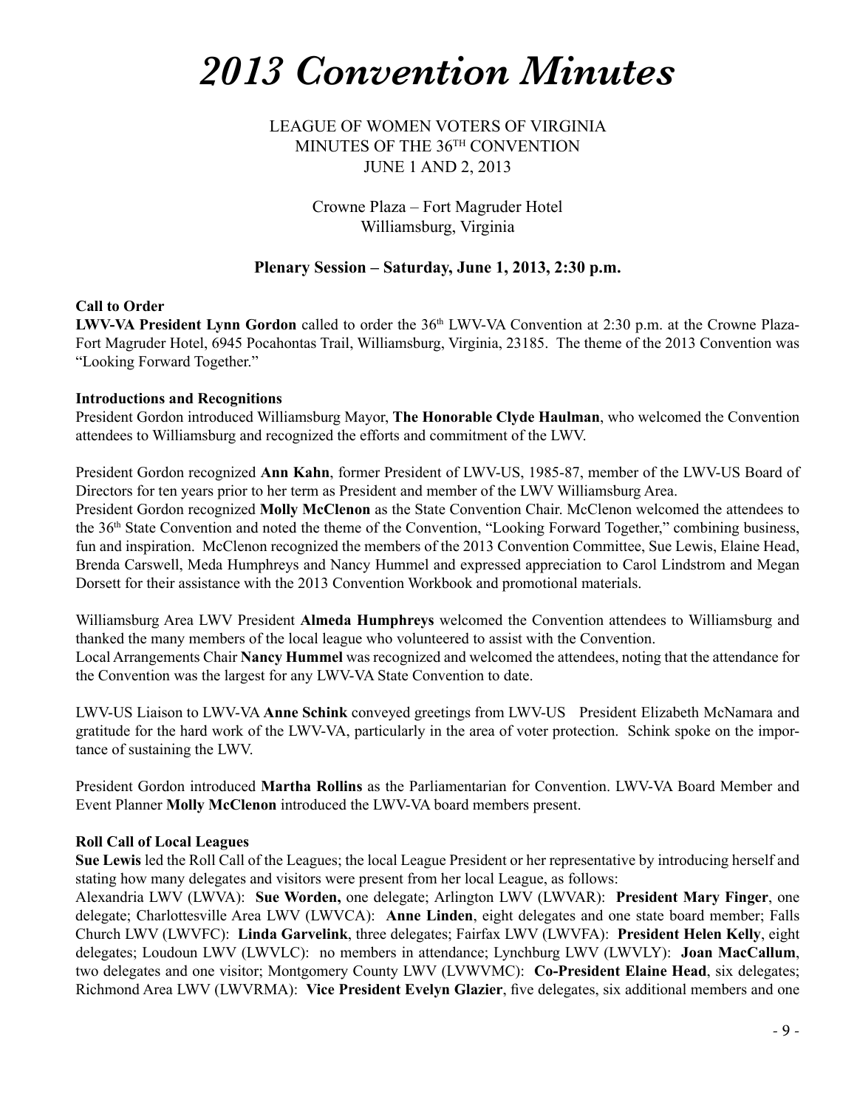# *2013 Convention Minutes*

LEAGUE OF WOMEN VOTERS OF VIRGINIA MINUTES OF THE 36TH CONVENTION JUNE 1 AND 2, 2013

> Crowne Plaza – Fort Magruder Hotel Williamsburg, Virginia

# **Plenary Session – Saturday, June 1, 2013, 2:30 p.m.**

## **Call to Order**

LWV-VA President Lynn Gordon called to order the 36<sup>th</sup> LWV-VA Convention at 2:30 p.m. at the Crowne Plaza-Fort Magruder Hotel, 6945 Pocahontas Trail, Williamsburg, Virginia, 23185. The theme of the 2013 Convention was "Looking Forward Together."

#### **Introductions and Recognitions**

President Gordon introduced Williamsburg Mayor, **The Honorable Clyde Haulman**, who welcomed the Convention attendees to Williamsburg and recognized the efforts and commitment of the LWV.

President Gordon recognized **Ann Kahn**, former President of LWV-US, 1985-87, member of the LWV-US Board of Directors for ten years prior to her term as President and member of the LWV Williamsburg Area.

President Gordon recognized **Molly McClenon** as the State Convention Chair. McClenon welcomed the attendees to the 36th State Convention and noted the theme of the Convention, "Looking Forward Together," combining business, fun and inspiration. McClenon recognized the members of the 2013 Convention Committee, Sue Lewis, Elaine Head, Brenda Carswell, Meda Humphreys and Nancy Hummel and expressed appreciation to Carol Lindstrom and Megan Dorsett for their assistance with the 2013 Convention Workbook and promotional materials.

Williamsburg Area LWV President **Almeda Humphreys** welcomed the Convention attendees to Williamsburg and thanked the many members of the local league who volunteered to assist with the Convention. Local Arrangements Chair **Nancy Hummel** was recognized and welcomed the attendees, noting that the attendance for

the Convention was the largest for any LWV-VA State Convention to date.

LWV-US Liaison to LWV-VA **Anne Schink** conveyed greetings from LWV-US President Elizabeth McNamara and gratitude for the hard work of the LWV-VA, particularly in the area of voter protection. Schink spoke on the importance of sustaining the LWV.

President Gordon introduced **Martha Rollins** as the Parliamentarian for Convention. LWV-VA Board Member and Event Planner **Molly McClenon** introduced the LWV-VA board members present.

# **Roll Call of Local Leagues**

**Sue Lewis** led the Roll Call of the Leagues; the local League President or her representative by introducing herself and stating how many delegates and visitors were present from her local League, as follows:

Alexandria LWV (LWVA): **Sue Worden,** one delegate; Arlington LWV (LWVAR): **President Mary Finger**, one delegate; Charlottesville Area LWV (LWVCA): **Anne Linden**, eight delegates and one state board member; Falls Church LWV (LWVFC): **Linda Garvelink**, three delegates; Fairfax LWV (LWVFA): **President Helen Kelly**, eight delegates; Loudoun LWV (LWVLC): no members in attendance; Lynchburg LWV (LWVLY): **Joan MacCallum**, two delegates and one visitor; Montgomery County LWV (LVWVMC): **Co-President Elaine Head**, six delegates; Richmond Area LWV (LWVRMA): **Vice President Evelyn Glazier**, five delegates, six additional members and one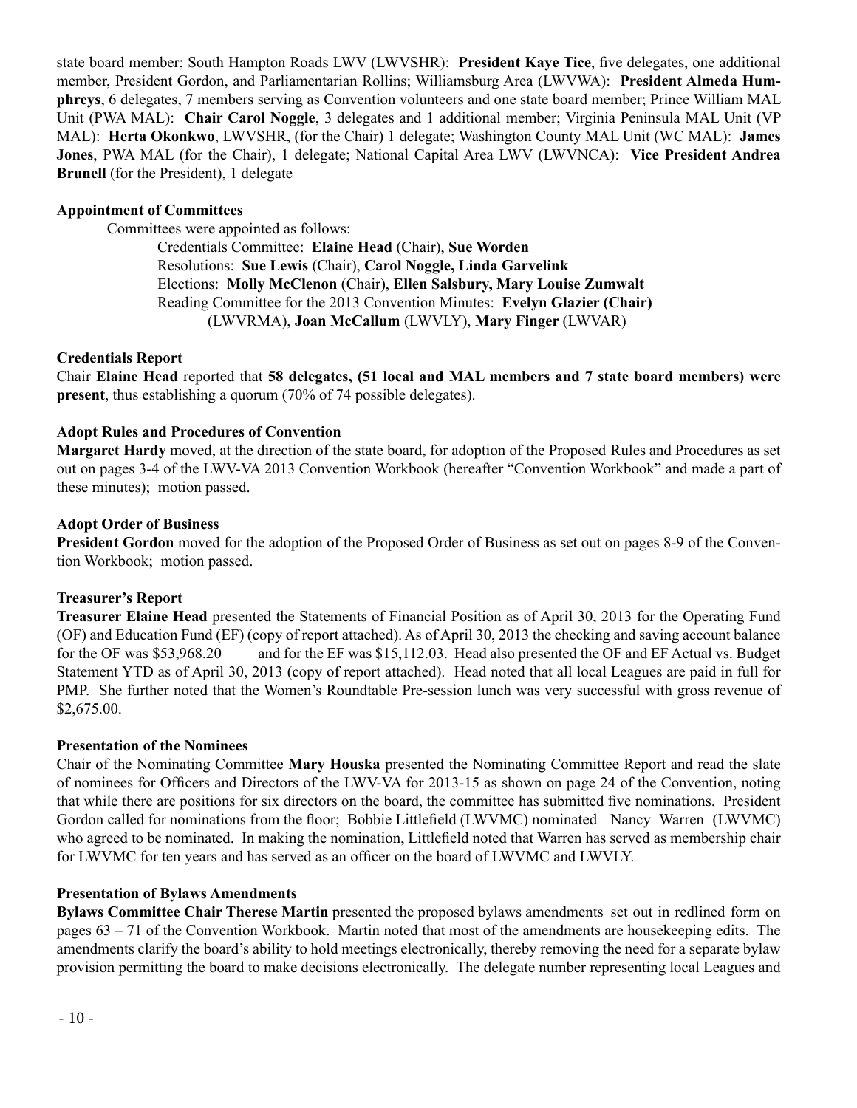state board member; South Hampton Roads LWV (LWVSHR): **President Kaye Tice**, five delegates, one additional member, President Gordon, and Parliamentarian Rollins; Williamsburg Area (LWVWA): **President Almeda Humphreys**, 6 delegates, 7 members serving as Convention volunteers and one state board member; Prince William MAL Unit (PWA MAL): **Chair Carol Noggle**, 3 delegates and 1 additional member; Virginia Peninsula MAL Unit (VP MAL): **Herta Okonkwo**, LWVSHR, (for the Chair) 1 delegate; Washington County MAL Unit (WC MAL): **James Jones**, PWA MAL (for the Chair), 1 delegate; National Capital Area LWV (LWVNCA): **Vice President Andrea Brunell** (for the President), 1 delegate

## **Appointment of Committees**

Committees were appointed as follows:

 Credentials Committee: **Elaine Head** (Chair), **Sue Worden** Resolutions: **Sue Lewis** (Chair), **Carol Noggle, Linda Garvelink** Elections: **Molly McClenon** (Chair), **Ellen Salsbury, Mary Louise Zumwalt** Reading Committee for the 2013 Convention Minutes: **Evelyn Glazier (Chair)** (LWVRMA), **Joan McCallum** (LWVLY), **Mary Finger** (LWVAR)

## **Credentials Report**

Chair **Elaine Head** reported that **58 delegates, (51 local and MAL members and 7 state board members) were present**, thus establishing a quorum (70% of 74 possible delegates).

## **Adopt Rules and Procedures of Convention**

**Margaret Hardy** moved, at the direction of the state board, for adoption of the Proposed Rules and Procedures as set out on pages 3-4 of the LWV-VA 2013 Convention Workbook (hereafter "Convention Workbook" and made a part of these minutes); motion passed.

## **Adopt Order of Business**

**President Gordon** moved for the adoption of the Proposed Order of Business as set out on pages 8-9 of the Convention Workbook; motion passed.

# **Treasurer's Report**

**Treasurer Elaine Head** presented the Statements of Financial Position as of April 30, 2013 for the Operating Fund (OF) and Education Fund (EF) (copy of report attached). As of April 30, 2013 the checking and saving account balance for the OF was \$53,968.20 and for the EF was \$15,112.03. Head also presented the OF and EF Actual vs. Budget Statement YTD as of April 30, 2013 (copy of report attached). Head noted that all local Leagues are paid in full for PMP. She further noted that the Women's Roundtable Pre-session lunch was very successful with gross revenue of \$2,675.00.

#### **Presentation of the Nominees**

Chair of the Nominating Committee **Mary Houska** presented the Nominating Committee Report and read the slate of nominees for Officers and Directors of the LWV-VA for 2013-15 as shown on page 24 of the Convention, noting that while there are positions for six directors on the board, the committee has submitted five nominations. President Gordon called for nominations from the floor; Bobbie Littlefield (LWVMC) nominated Nancy Warren (LWVMC) who agreed to be nominated. In making the nomination, Littlefield noted that Warren has served as membership chair for LWVMC for ten years and has served as an officer on the board of LWVMC and LWVLY.

# **Presentation of Bylaws Amendments**

**Bylaws Committee Chair Therese Martin** presented the proposed bylaws amendments set out in redlined form on pages 63 – 71 of the Convention Workbook. Martin noted that most of the amendments are housekeeping edits. The amendments clarify the board's ability to hold meetings electronically, thereby removing the need for a separate bylaw provision permitting the board to make decisions electronically. The delegate number representing local Leagues and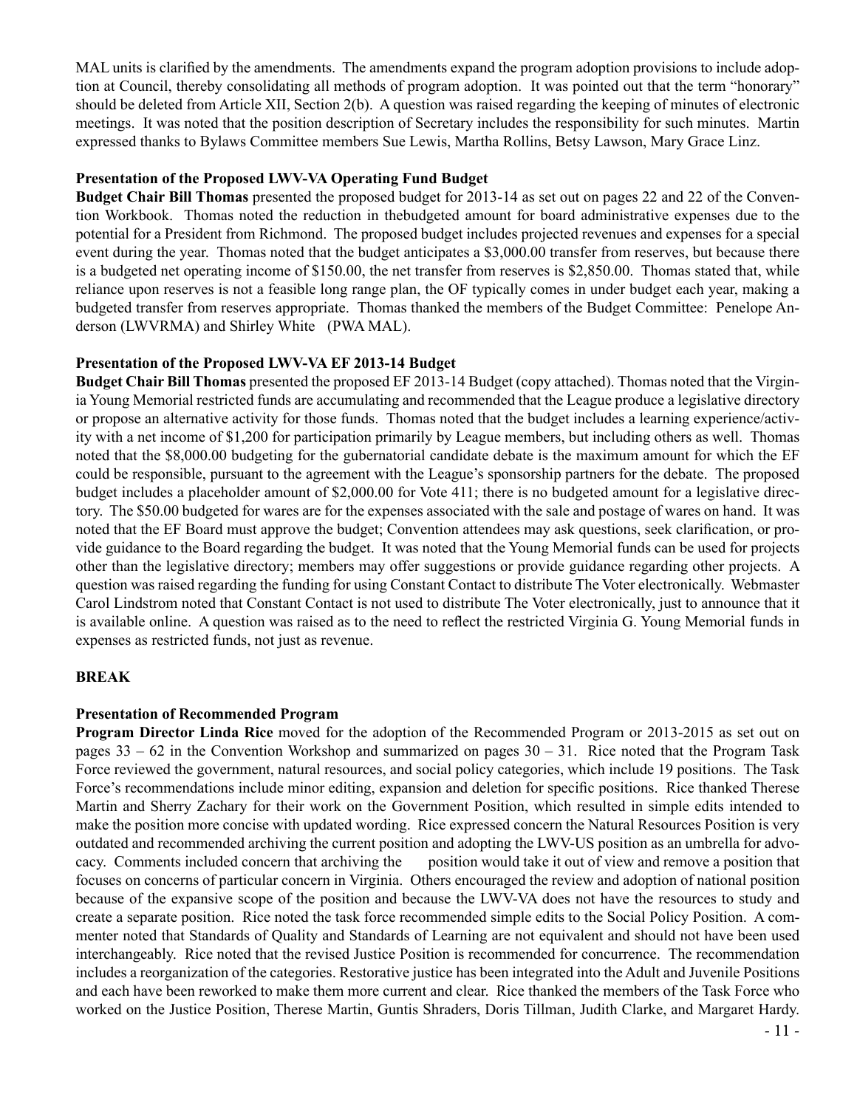MAL units is clarified by the amendments. The amendments expand the program adoption provisions to include adoption at Council, thereby consolidating all methods of program adoption. It was pointed out that the term "honorary" should be deleted from Article XII, Section 2(b). A question was raised regarding the keeping of minutes of electronic meetings. It was noted that the position description of Secretary includes the responsibility for such minutes. Martin expressed thanks to Bylaws Committee members Sue Lewis, Martha Rollins, Betsy Lawson, Mary Grace Linz.

# **Presentation of the Proposed LWV-VA Operating Fund Budget**

**Budget Chair Bill Thomas** presented the proposed budget for 2013-14 as set out on pages 22 and 22 of the Convention Workbook. Thomas noted the reduction in thebudgeted amount for board administrative expenses due to the potential for a President from Richmond. The proposed budget includes projected revenues and expenses for a special event during the year. Thomas noted that the budget anticipates a \$3,000.00 transfer from reserves, but because there is a budgeted net operating income of \$150.00, the net transfer from reserves is \$2,850.00. Thomas stated that, while reliance upon reserves is not a feasible long range plan, the OF typically comes in under budget each year, making a budgeted transfer from reserves appropriate. Thomas thanked the members of the Budget Committee: Penelope Anderson (LWVRMA) and Shirley White (PWA MAL).

#### **Presentation of the Proposed LWV-VA EF 2013-14 Budget**

**Budget Chair Bill Thomas** presented the proposed EF 2013-14 Budget (copy attached). Thomas noted that the Virginia Young Memorial restricted funds are accumulating and recommended that the League produce a legislative directory or propose an alternative activity for those funds. Thomas noted that the budget includes a learning experience/activity with a net income of \$1,200 for participation primarily by League members, but including others as well. Thomas noted that the \$8,000.00 budgeting for the gubernatorial candidate debate is the maximum amount for which the EF could be responsible, pursuant to the agreement with the League's sponsorship partners for the debate. The proposed budget includes a placeholder amount of \$2,000.00 for Vote 411; there is no budgeted amount for a legislative directory. The \$50.00 budgeted for wares are for the expenses associated with the sale and postage of wares on hand. It was noted that the EF Board must approve the budget; Convention attendees may ask questions, seek clarification, or provide guidance to the Board regarding the budget. It was noted that the Young Memorial funds can be used for projects other than the legislative directory; members may offer suggestions or provide guidance regarding other projects. A question was raised regarding the funding for using Constant Contact to distribute The Voter electronically. Webmaster Carol Lindstrom noted that Constant Contact is not used to distribute The Voter electronically, just to announce that it is available online. A question was raised as to the need to reflect the restricted Virginia G. Young Memorial funds in expenses as restricted funds, not just as revenue.

#### **BREAK**

#### **Presentation of Recommended Program**

**Program Director Linda Rice** moved for the adoption of the Recommended Program or 2013-2015 as set out on pages  $33 - 62$  in the Convention Workshop and summarized on pages  $30 - 31$ . Rice noted that the Program Task Force reviewed the government, natural resources, and social policy categories, which include 19 positions. The Task Force's recommendations include minor editing, expansion and deletion for specific positions. Rice thanked Therese Martin and Sherry Zachary for their work on the Government Position, which resulted in simple edits intended to make the position more concise with updated wording. Rice expressed concern the Natural Resources Position is very outdated and recommended archiving the current position and adopting the LWV-US position as an umbrella for advocacy. Comments included concern that archiving the position would take it out of view and remove a position that focuses on concerns of particular concern in Virginia. Others encouraged the review and adoption of national position because of the expansive scope of the position and because the LWV-VA does not have the resources to study and create a separate position. Rice noted the task force recommended simple edits to the Social Policy Position. A commenter noted that Standards of Quality and Standards of Learning are not equivalent and should not have been used interchangeably. Rice noted that the revised Justice Position is recommended for concurrence. The recommendation includes a reorganization of the categories. Restorative justice has been integrated into the Adult and Juvenile Positions and each have been reworked to make them more current and clear. Rice thanked the members of the Task Force who worked on the Justice Position, Therese Martin, Guntis Shraders, Doris Tillman, Judith Clarke, and Margaret Hardy.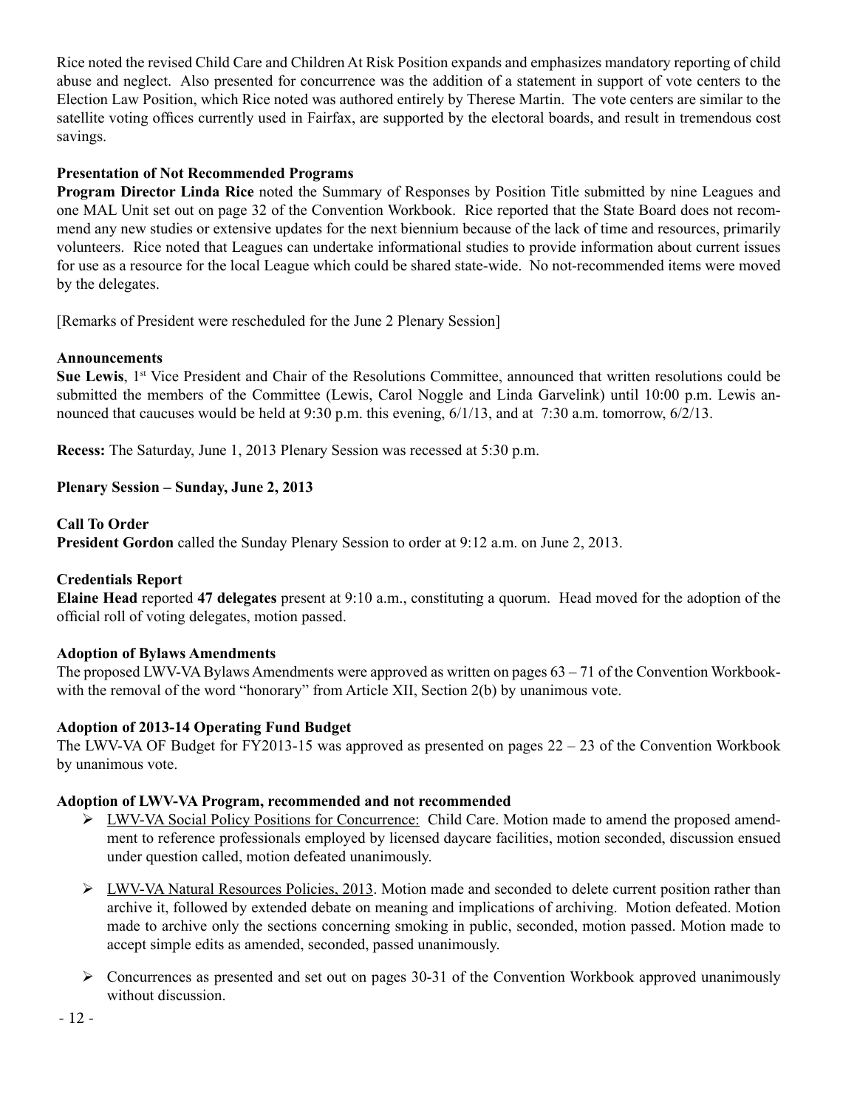Rice noted the revised Child Care and Children At Risk Position expands and emphasizes mandatory reporting of child abuse and neglect. Also presented for concurrence was the addition of a statement in support of vote centers to the Election Law Position, which Rice noted was authored entirely by Therese Martin. The vote centers are similar to the satellite voting offices currently used in Fairfax, are supported by the electoral boards, and result in tremendous cost savings.

# **Presentation of Not Recommended Programs**

**Program Director Linda Rice** noted the Summary of Responses by Position Title submitted by nine Leagues and one MAL Unit set out on page 32 of the Convention Workbook. Rice reported that the State Board does not recommend any new studies or extensive updates for the next biennium because of the lack of time and resources, primarily volunteers. Rice noted that Leagues can undertake informational studies to provide information about current issues for use as a resource for the local League which could be shared state-wide. No not-recommended items were moved by the delegates.

[Remarks of President were rescheduled for the June 2 Plenary Session]

# **Announcements**

**Sue Lewis**, 1st Vice President and Chair of the Resolutions Committee, announced that written resolutions could be submitted the members of the Committee (Lewis, Carol Noggle and Linda Garvelink) until 10:00 p.m. Lewis announced that caucuses would be held at 9:30 p.m. this evening, 6/1/13, and at 7:30 a.m. tomorrow, 6/2/13.

**Recess:** The Saturday, June 1, 2013 Plenary Session was recessed at 5:30 p.m.

# **Plenary Session – Sunday, June 2, 2013**

# **Call To Order**

**President Gordon** called the Sunday Plenary Session to order at 9:12 a.m. on June 2, 2013.

# **Credentials Report**

**Elaine Head** reported **47 delegates** present at 9:10 a.m., constituting a quorum. Head moved for the adoption of the official roll of voting delegates, motion passed.

# **Adoption of Bylaws Amendments**

The proposed LWV-VA Bylaws Amendments were approved as written on pages  $63 - 71$  of the Convention Workbookwith the removal of the word "honorary" from Article XII, Section 2(b) by unanimous vote.

# **Adoption of 2013-14 Operating Fund Budget**

The LWV-VA OF Budget for FY2013-15 was approved as presented on pages  $22 - 23$  of the Convention Workbook by unanimous vote.

# **Adoption of LWV-VA Program, recommended and not recommended**

- $\triangleright$  LWV-VA Social Policy Positions for Concurrence: Child Care. Motion made to amend the proposed amendment to reference professionals employed by licensed daycare facilities, motion seconded, discussion ensued under question called, motion defeated unanimously.
- $\triangleright$  LWV-VA Natural Resources Policies, 2013. Motion made and seconded to delete current position rather than archive it, followed by extended debate on meaning and implications of archiving. Motion defeated. Motion made to archive only the sections concerning smoking in public, seconded, motion passed. Motion made to accept simple edits as amended, seconded, passed unanimously.
- $\triangleright$  Concurrences as presented and set out on pages 30-31 of the Convention Workbook approved unanimously without discussion.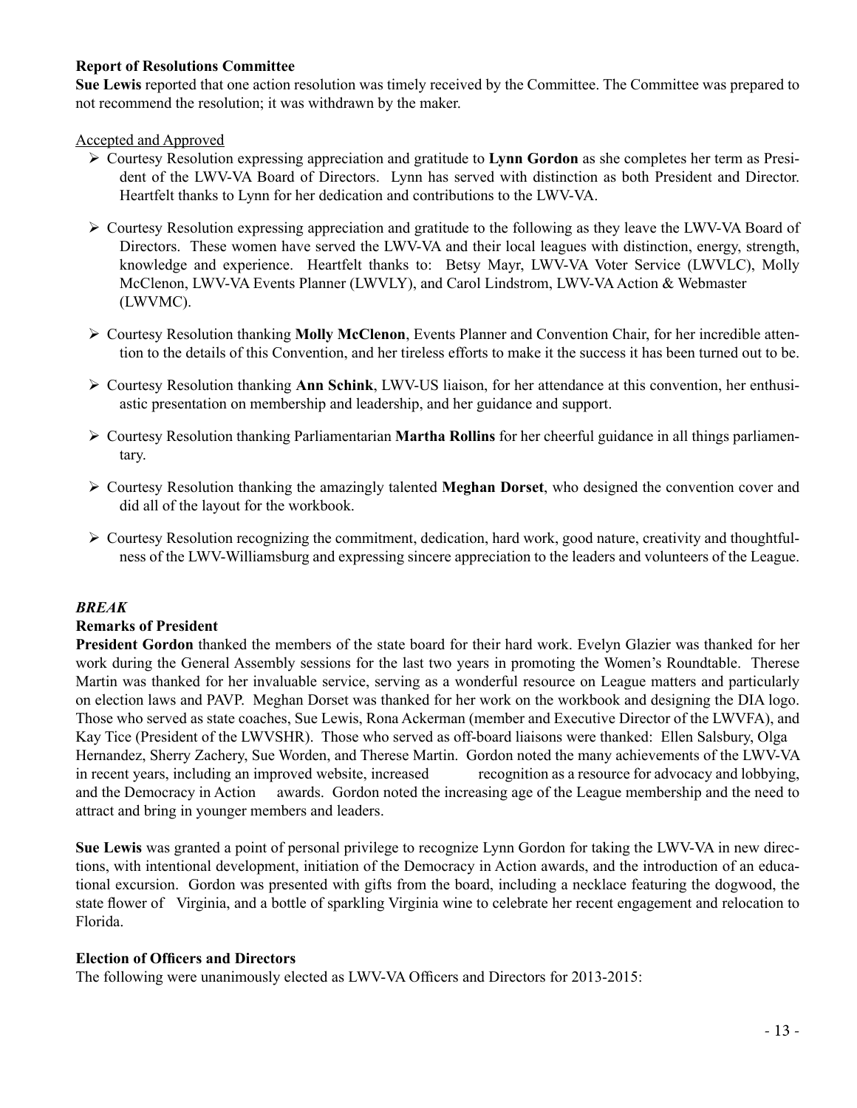# **Report of Resolutions Committee**

**Sue Lewis** reported that one action resolution was timely received by the Committee. The Committee was prepared to not recommend the resolution; it was withdrawn by the maker.

#### Accepted and Approved

- Ø Courtesy Resolution expressing appreciation and gratitude to **Lynn Gordon** as she completes her term as President of the LWV-VA Board of Directors. Lynn has served with distinction as both President and Director. Heartfelt thanks to Lynn for her dedication and contributions to the LWV-VA.
- $\triangleright$  Courtesy Resolution expressing appreciation and gratitude to the following as they leave the LWV-VA Board of Directors. These women have served the LWV-VA and their local leagues with distinction, energy, strength, knowledge and experience. Heartfelt thanks to: Betsy Mayr, LWV-VA Voter Service (LWVLC), Molly McClenon, LWV-VA Events Planner (LWVLY), and Carol Lindstrom, LWV-VA Action & Webmaster (LWVMC).
- **≻** Courtesy Resolution thanking **Molly McClenon**, Events Planner and Convention Chair, for her incredible attention to the details of this Convention, and her tireless efforts to make it the success it has been turned out to be.
- $\triangleright$  Courtesy Resolution thanking **Ann Schink**, LWV-US liaison, for her attendance at this convention, her enthusiastic presentation on membership and leadership, and her guidance and support.
- $\triangleright$  Courtesy Resolution thanking Parliamentarian **Martha Rollins** for her cheerful guidance in all things parliamentary.
- $\triangleright$  Courtesy Resolution thanking the amazingly talented **Meghan Dorset**, who designed the convention cover and did all of the layout for the workbook.
- $\triangleright$  Courtesy Resolution recognizing the commitment, dedication, hard work, good nature, creativity and thoughtfulness of the LWV-Williamsburg and expressing sincere appreciation to the leaders and volunteers of the League.

#### *BREAK*

#### **Remarks of President**

**President Gordon** thanked the members of the state board for their hard work. Evelyn Glazier was thanked for her work during the General Assembly sessions for the last two years in promoting the Women's Roundtable. Therese Martin was thanked for her invaluable service, serving as a wonderful resource on League matters and particularly on election laws and PAVP. Meghan Dorset was thanked for her work on the workbook and designing the DIA logo. Those who served as state coaches, Sue Lewis, Rona Ackerman (member and Executive Director of the LWVFA), and Kay Tice (President of the LWVSHR). Those who served as off-board liaisons were thanked: Ellen Salsbury, Olga Hernandez, Sherry Zachery, Sue Worden, and Therese Martin. Gordon noted the many achievements of the LWV-VA in recent years, including an improved website, increased recognition as a resource for advocacy and lobbying, and the Democracy in Action awards. Gordon noted the increasing age of the League membership and the need to attract and bring in younger members and leaders.

**Sue Lewis** was granted a point of personal privilege to recognize Lynn Gordon for taking the LWV-VA in new directions, with intentional development, initiation of the Democracy in Action awards, and the introduction of an educational excursion. Gordon was presented with gifts from the board, including a necklace featuring the dogwood, the state flower of Virginia, and a bottle of sparkling Virginia wine to celebrate her recent engagement and relocation to Florida.

#### **Election of Officers and Directors**

The following were unanimously elected as LWV-VA Officers and Directors for 2013-2015: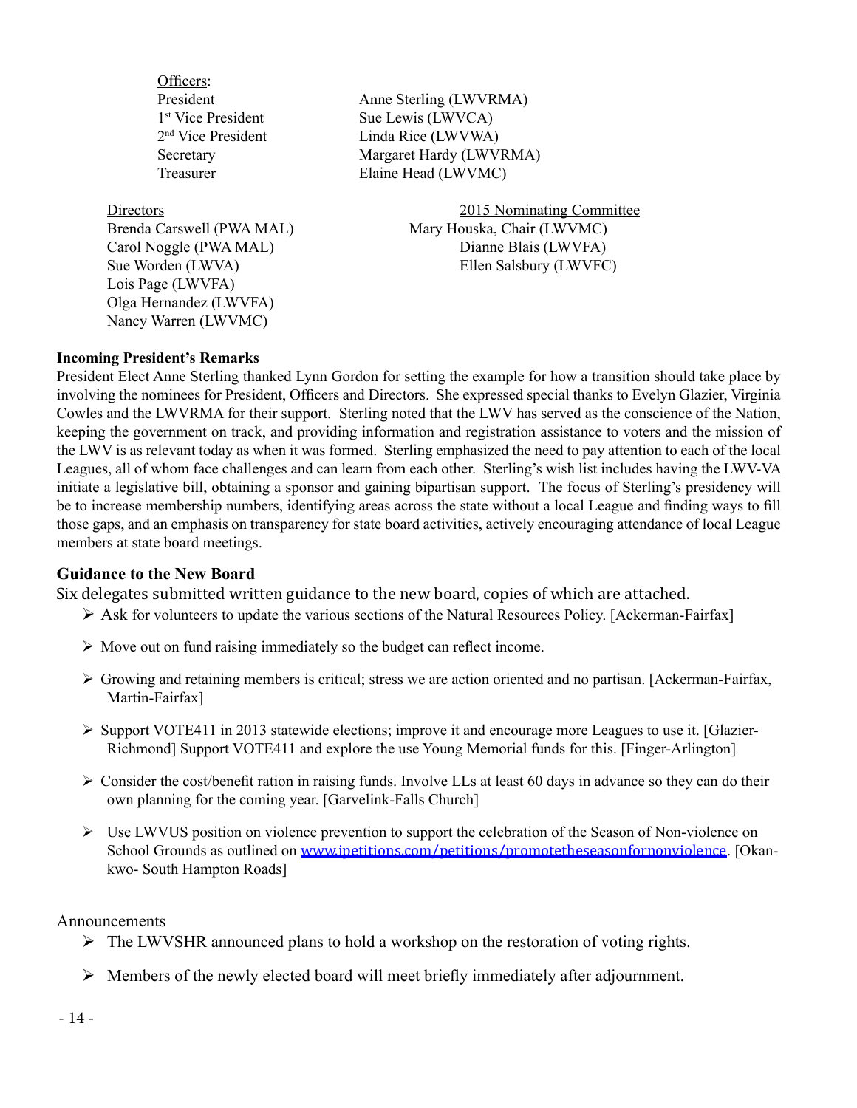Officers:

Lois Page (LWVFA) Olga Hernandez (LWVFA) Nancy Warren (LWVMC)

President Anne Sterling (LWVRMA) 1<sup>st</sup> Vice President Sue Lewis (LWVCA) 2<sup>nd</sup> Vice President Linda Rice (LWVWA) Secretary Margaret Hardy (LWVRMA) Treasurer Elaine Head (LWVMC)

Directors 2015 Nominating Committee Brenda Carswell (PWA MAL) Mary Houska, Chair (LWVMC) Carol Noggle (PWA MAL) Dianne Blais (LWVFA) Sue Worden (LWVA) Ellen Salsbury (LWVFC)

## **Incoming President's Remarks**

President Elect Anne Sterling thanked Lynn Gordon for setting the example for how a transition should take place by involving the nominees for President, Officers and Directors. She expressed special thanks to Evelyn Glazier, Virginia Cowles and the LWVRMA for their support. Sterling noted that the LWV has served as the conscience of the Nation, keeping the government on track, and providing information and registration assistance to voters and the mission of the LWV is as relevant today as when it was formed. Sterling emphasized the need to pay attention to each of the local Leagues, all of whom face challenges and can learn from each other. Sterling's wish list includes having the LWV-VA initiate a legislative bill, obtaining a sponsor and gaining bipartisan support. The focus of Sterling's presidency will be to increase membership numbers, identifying areas across the state without a local League and finding ways to fill those gaps, and an emphasis on transparency for state board activities, actively encouraging attendance of local League members at state board meetings.

# **Guidance to the New Board**

Six delegates submitted written guidance to the new board, copies of which are attached.

- $\triangleright$  Ask for volunteers to update the various sections of the Natural Resources Policy. [Ackerman-Fairfax]
- $\triangleright$  Move out on fund raising immediately so the budget can reflect income.
- $\triangleright$  Growing and retaining members is critical; stress we are action oriented and no partisan. [Ackerman-Fairfax, Martin-Fairfax]
- $\triangleright$  Support VOTE411 in 2013 statewide elections; improve it and encourage more Leagues to use it. [Glazier-Richmond] Support VOTE411 and explore the use Young Memorial funds for this. [Finger-Arlington]
- $\triangleright$  Consider the cost/benefit ration in raising funds. Involve LLs at least 60 days in advance so they can do their own planning for the coming year. [Garvelink-Falls Church]
- $\triangleright$  Use LWVUS position on violence prevention to support the celebration of the Season of Non-violence on School Grounds as outlined on www.ipetitions.com/petitions/promotetheseasonfornonviolence. [Okankwo- South Hampton Roads]

Announcements

- $\triangleright$  The LWVSHR announced plans to hold a workshop on the restoration of voting rights.
- $\triangleright$  Members of the newly elected board will meet briefly immediately after adjournment.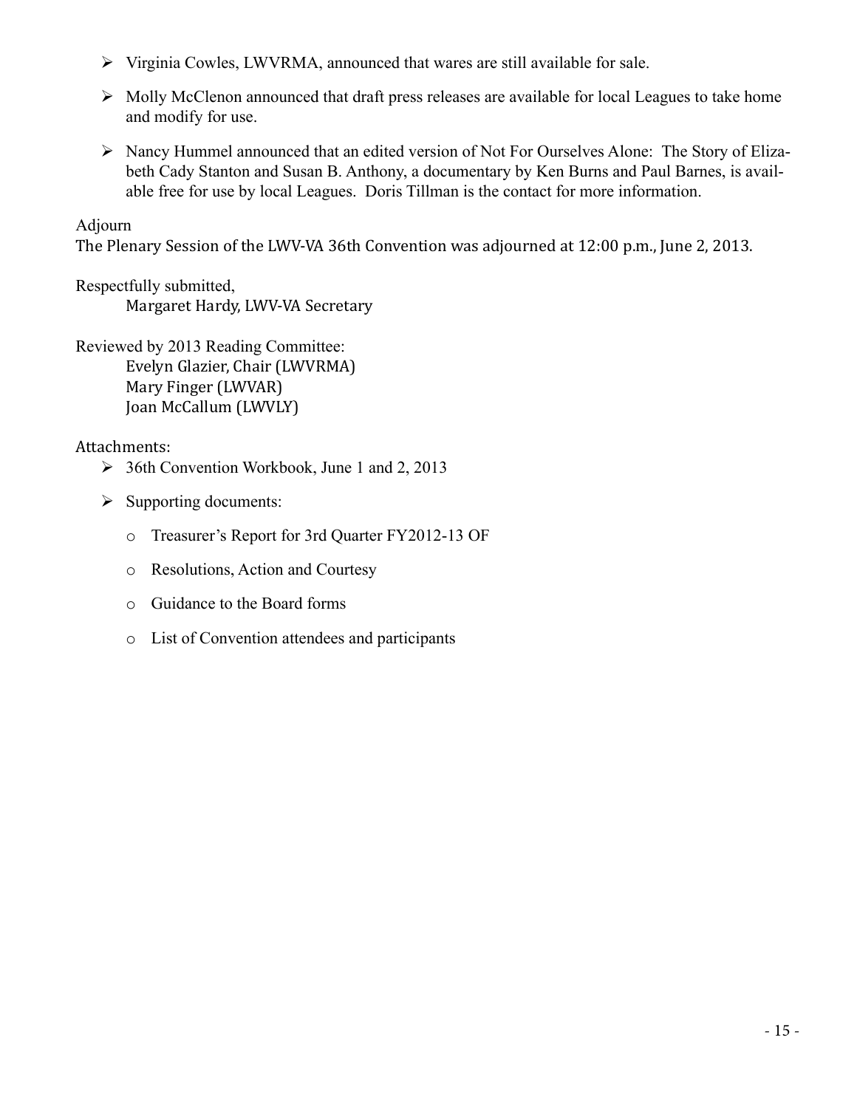- $\triangleright$  Virginia Cowles, LWVRMA, announced that wares are still available for sale.
- $\triangleright$  Molly McClenon announced that draft press releases are available for local Leagues to take home and modify for use.
- Ø Nancy Hummel announced that an edited version of Not For Ourselves Alone: The Story of Elizabeth Cady Stanton and Susan B. Anthony, a documentary by Ken Burns and Paul Barnes, is available free for use by local Leagues. Doris Tillman is the contact for more information.

# Adjourn

The Plenary Session of the LWV-VA 36th Convention was adjourned at 12:00 p.m., June 2, 2013.

Respectfully submitted, Margaret Hardy, LWV-VA Secretary

Reviewed by 2013 Reading Committee: Evelyn Glazier, Chair (LWVRMA) Mary Finger (LWVAR) Joan McCallum (LWVLY)

Attachments:

- $\geq$  36th Convention Workbook, June 1 and 2, 2013
- $\triangleright$  Supporting documents:
	- o Treasurer's Report for 3rd Quarter FY2012-13 OF
	- o Resolutions, Action and Courtesy
	- o Guidance to the Board forms
	- o List of Convention attendees and participants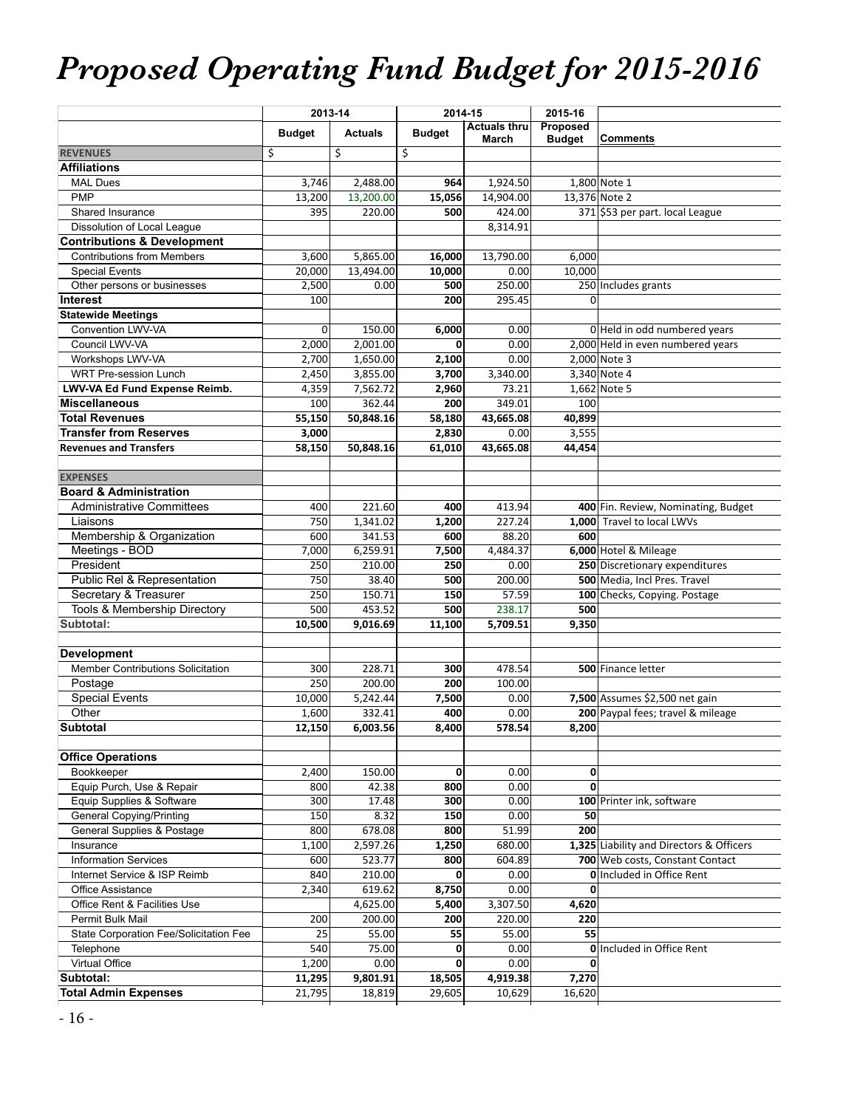# *Proposed Operating Fund Budget for 2015-2016*

|                                                               |                 | 2013-14        | 2014-15       |                              | 2015-16                   |                                          |
|---------------------------------------------------------------|-----------------|----------------|---------------|------------------------------|---------------------------|------------------------------------------|
|                                                               | <b>Budget</b>   | <b>Actuals</b> | <b>Budget</b> | <b>Actuals thru</b><br>March | Proposed<br><b>Budget</b> | Comments                                 |
| <b>REVENUES</b>                                               | \$              | \$             | \$            |                              |                           |                                          |
| <b>Affiliations</b>                                           |                 |                |               |                              |                           |                                          |
| <b>MAL Dues</b>                                               | 3,746           | 2,488.00       | 964           | 1,924.50                     |                           | 1,800 Note 1                             |
| <b>PMP</b>                                                    | 13,200          | 13,200.00      | 15,056        | 14,904.00                    |                           | 13,376 Note 2                            |
| Shared Insurance                                              | 395             | 220.00         | 500           | 424.00                       |                           | 371 \$53 per part. local League          |
| Dissolution of Local League                                   |                 |                |               | 8,314.91                     |                           |                                          |
| <b>Contributions &amp; Development</b>                        |                 |                |               |                              |                           |                                          |
| <b>Contributions from Members</b>                             | 3,600           | 5,865.00       | 16,000        | 13,790.00                    | 6,000                     |                                          |
| <b>Special Events</b>                                         | 20,000          | 13,494.00      | 10,000        | 0.00                         | 10,000                    |                                          |
| Other persons or businesses                                   | 2,500           | 0.00           | 500           | 250.00                       |                           | 250 Includes grants                      |
| <b>Interest</b>                                               | 100             |                | 200           | 295.45                       | 0                         |                                          |
| <b>Statewide Meetings</b>                                     |                 |                |               |                              |                           |                                          |
| Convention LWV-VA                                             | $\overline{0}$  | 150.00         | 6,000         | 0.00                         |                           | 0 Held in odd numbered years             |
| Council LWV-VA                                                | 2,000           | 2,001.00       | 0             | 0.00                         |                           | 2,000 Held in even numbered years        |
| Workshops LWV-VA                                              | 2,700           | 1,650.00       | 2,100         | 0.00                         |                           | 2,000 Note 3                             |
| <b>WRT Pre-session Lunch</b>                                  | 2,450           | 3,855.00       | 3,700         | 3,340.00                     |                           | 3,340 Note 4                             |
| LWV-VA Ed Fund Expense Reimb.                                 | 4,359           | 7,562.72       | 2,960         | 73.21                        |                           | 1,662 Note 5                             |
| <b>Miscellaneous</b>                                          | 100             | 362.44         | 200           | 349.01                       | 100                       |                                          |
| <b>Total Revenues</b><br><b>Transfer from Reserves</b>        | 55,150          | 50,848.16      | 58,180        | 43,665.08                    | 40,899                    |                                          |
| <b>Revenues and Transfers</b>                                 | 3,000<br>58,150 | 50,848.16      | 2,830         | 0.00<br>43,665.08            | 3,555<br>44,454           |                                          |
|                                                               |                 |                | 61,010        |                              |                           |                                          |
| <b>EXPENSES</b>                                               |                 |                |               |                              |                           |                                          |
| <b>Board &amp; Administration</b>                             |                 |                |               |                              |                           |                                          |
| <b>Administrative Committees</b>                              | 400             | 221.60         | 400           | 413.94                       |                           | 400 Fin. Review, Nominating, Budget      |
| Liaisons                                                      | 750             | 1,341.02       | 1,200         | 227.24                       |                           | 1,000 Travel to local LWVs               |
| Membership & Organization                                     | 600             | 341.53         | 600           | 88.20                        | 600                       |                                          |
| Meetings - BOD                                                | 7,000           | 6,259.91       | 7,500         | 4,484.37                     |                           | 6,000 Hotel & Mileage                    |
| President                                                     | 250             | 210.00         | 250           | 0.00                         |                           | 250 Discretionary expenditures           |
| Public Rel & Representation                                   | 750             | 38.40          | 500           | 200.00                       |                           | 500 Media, Incl Pres. Travel             |
| Secretary & Treasurer                                         | 250             | 150.71         | 150           | 57.59                        |                           | 100 Checks, Copying. Postage             |
| Tools & Membership Directory                                  | 500             | 453.52         | 500           | 238.17                       | 500                       |                                          |
| Subtotal:                                                     | 10,500          | 9,016.69       | 11,100        | 5,709.51                     | 9,350                     |                                          |
|                                                               |                 |                |               |                              |                           |                                          |
| <b>Development</b>                                            |                 |                |               |                              |                           |                                          |
| Member Contributions Solicitation                             | 300             | 228.71         | 300           | 478.54                       |                           | 500 Finance letter                       |
| Postage                                                       | 250             | 200.00         | 200           | 100.00                       |                           |                                          |
| <b>Special Events</b>                                         | 10,000          | 5,242.44       | 7,500         | 0.00                         |                           | 7,500 Assumes \$2,500 net gain           |
| Other                                                         | 1,600           | 332.41         | 400           | 0.00                         |                           | 200 Paypal fees; travel & mileage        |
| <b>Subtotal</b>                                               | 12,150          | 6,003.56       | 8,400         | 578.54                       | 8,200                     |                                          |
|                                                               |                 |                |               |                              |                           |                                          |
| <b>Office Operations</b>                                      |                 |                |               |                              |                           |                                          |
| Bookkeeper                                                    | 2,400           | 150.00         | 0             | 0.00                         | 0                         |                                          |
| Equip Purch, Use & Repair                                     | 800             | 42.38          | 800           | 0.00                         | 0                         |                                          |
| Equip Supplies & Software                                     | 300<br>150      | 17.48<br>8.32  | 300<br>150    | 0.00<br>0.00                 |                           | 100 Printer ink, software                |
| <b>General Copying/Printing</b><br>General Supplies & Postage | 800             | 678.08         | 800           | 51.99                        | 50<br>200                 |                                          |
| Insurance                                                     | 1,100           | 2,597.26       | 1,250         | 680.00                       |                           | 1,325 Liability and Directors & Officers |
| Information Services                                          | 600             | 523.77         | 800           | 604.89                       |                           | 700 Web costs, Constant Contact          |
| Internet Service & ISP Reimb                                  | 840             | 210.00         | 0             | 0.00                         |                           | <b>Olncluded in Office Rent</b>          |
| Office Assistance                                             | 2,340           | 619.62         | 8,750         | 0.00                         | 0                         |                                          |
| Office Rent & Facilities Use                                  |                 | 4,625.00       | 5,400         | 3,307.50                     | 4,620                     |                                          |
| Permit Bulk Mail                                              | 200             | 200.00         | 200           | 220.00                       | 220                       |                                          |
| State Corporation Fee/Solicitation Fee                        | 25              | 55.00          | 55            | 55.00                        | 55                        |                                          |
| Telephone                                                     | 540             | 75.00          | 0             | 0.00                         |                           | <b>Olncluded in Office Rent</b>          |
| Virtual Office                                                | 1,200           | 0.00           | 0             | 0.00                         | 0                         |                                          |
| Subtotal:                                                     | 11,295          | 9,801.91       | 18,505        | 4,919.38                     | 7,270                     |                                          |
| <b>Total Admin Expenses</b>                                   | 21,795          | 18,819         | 29,605        | 10,629                       | 16,620                    |                                          |
|                                                               |                 |                |               |                              |                           |                                          |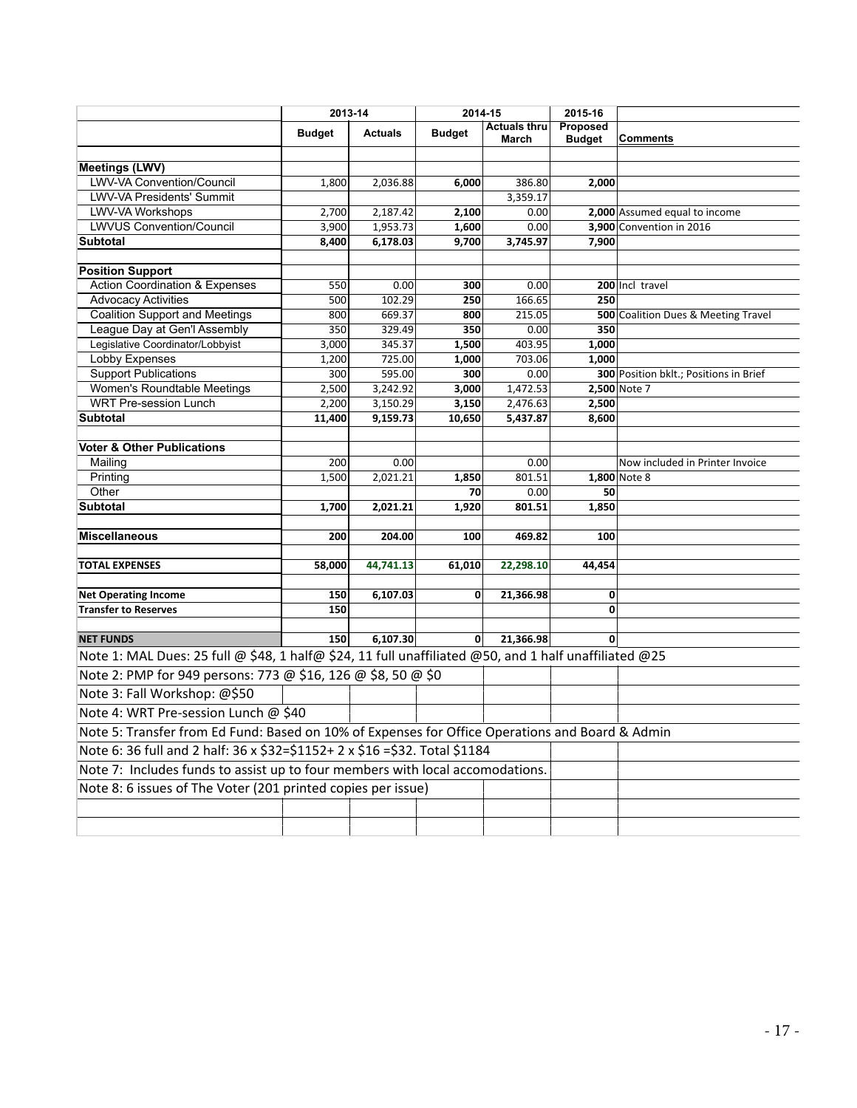|                                                                                                       | 2013-14       |                | 2014-15       | 2015-16                      |                           |                                        |
|-------------------------------------------------------------------------------------------------------|---------------|----------------|---------------|------------------------------|---------------------------|----------------------------------------|
|                                                                                                       | <b>Budget</b> | <b>Actuals</b> | <b>Budget</b> | <b>Actuals thru</b><br>March | Proposed<br><b>Budget</b> | <b>Comments</b>                        |
| <b>Meetings (LWV)</b>                                                                                 |               |                |               |                              |                           |                                        |
| LWV-VA Convention/Council                                                                             | 1,800         | 2,036.88       | 6,000         | 386.80                       | 2,000                     |                                        |
| LWV-VA Presidents' Summit                                                                             |               |                |               | 3,359.17                     |                           |                                        |
| LWV-VA Workshops                                                                                      | 2,700         | 2,187.42       | 2,100         | 0.00                         |                           | 2,000 Assumed equal to income          |
| <b>LWVUS Convention/Council</b>                                                                       | 3,900         | 1,953.73       | 1,600         | 0.00                         |                           | 3,900 Convention in 2016               |
| <b>Subtotal</b>                                                                                       | 8,400         | 6,178.03       | 9,700         | 3,745.97                     | 7,900                     |                                        |
|                                                                                                       |               |                |               |                              |                           |                                        |
| <b>Position Support</b>                                                                               |               |                |               |                              |                           |                                        |
| <b>Action Coordination &amp; Expenses</b>                                                             | 550           | 0.00           | 300           | 0.00                         |                           | 200 Incl travel                        |
| <b>Advocacy Activities</b>                                                                            | 500           | 102.29         | 250           | 166.65                       | 250                       |                                        |
| <b>Coalition Support and Meetings</b>                                                                 | 800           | 669.37         | 800           | 215.05                       |                           | 500 Coalition Dues & Meeting Travel    |
| League Day at Gen'l Assembly                                                                          | 350           | 329.49         | 350           | 0.00                         | 350                       |                                        |
| Legislative Coordinator/Lobbyist                                                                      | 3,000         | 345.37         | 1,500         | 403.95                       | 1,000                     |                                        |
| <b>Lobby Expenses</b>                                                                                 | 1,200         | 725.00         | 1,000         | 703.06                       | 1,000                     |                                        |
| <b>Support Publications</b>                                                                           | 300           | 595.00         | 300           | 0.00                         |                           | 300 Position bklt.; Positions in Brief |
| Women's Roundtable Meetings                                                                           | 2,500         | 3,242.92       | 3,000         | 1,472.53                     |                           | 2,500 Note 7                           |
| <b>WRT Pre-session Lunch</b>                                                                          | 2,200         | 3,150.29       | 3,150         | 2,476.63                     | 2,500                     |                                        |
| <b>Subtotal</b>                                                                                       | 11,400        | 9,159.73       | 10,650        | 5,437.87                     | 8,600                     |                                        |
| <b>Voter &amp; Other Publications</b>                                                                 |               |                |               |                              |                           |                                        |
| Mailing                                                                                               | 200           | 0.00           |               | 0.00                         |                           | Now included in Printer Invoice        |
| Printing                                                                                              | 1,500         | 2,021.21       | 1,850         | 801.51                       |                           | 1,800 Note 8                           |
| Other                                                                                                 |               |                | 70            | 0.00                         | 50                        |                                        |
| <b>Subtotal</b>                                                                                       | 1,700         | 2,021.21       | 1,920         | 801.51                       | 1,850                     |                                        |
|                                                                                                       |               |                |               |                              |                           |                                        |
| <b>Miscellaneous</b>                                                                                  | 200           | 204.00         | 100           | 469.82                       | 100                       |                                        |
| <b>TOTAL EXPENSES</b>                                                                                 | 58,000        | 44,741.13      | 61,010        | 22,298.10                    | 44,454                    |                                        |
|                                                                                                       |               |                |               |                              |                           |                                        |
| <b>Net Operating Income</b>                                                                           | 150           | 6,107.03       | 0             | 21,366.98                    | 0                         |                                        |
| <b>Transfer to Reserves</b>                                                                           | 150           |                |               |                              | 0                         |                                        |
| <b>NET FUNDS</b>                                                                                      | 150           | 6,107.30       | $\mathbf{0}$  | 21,366.98                    |                           |                                        |
| Note 1: MAL Dues: 25 full @ \$48, 1 half@ \$24, 11 full unaffiliated @50, and 1 half unaffiliated @25 |               |                |               |                              |                           |                                        |
| Note 2: PMP for 949 persons: 773 @ \$16, 126 @ \$8, 50 @ \$0                                          |               |                |               |                              |                           |                                        |
| Note 3: Fall Workshop: @\$50                                                                          |               |                |               |                              |                           |                                        |
| Note 4: WRT Pre-session Lunch @ \$40                                                                  |               |                |               |                              |                           |                                        |
| Note 5: Transfer from Ed Fund: Based on 10% of Expenses for Office Operations and Board & Admin       |               |                |               |                              |                           |                                        |
| Note 6: 36 full and 2 half: 36 x \$32=\$1152+ 2 x \$16 =\$32. Total \$1184                            |               |                |               |                              |                           |                                        |
| Note 7: Includes funds to assist up to four members with local accomodations.                         |               |                |               |                              |                           |                                        |
| Note 8: 6 issues of The Voter (201 printed copies per issue)                                          |               |                |               |                              |                           |                                        |
|                                                                                                       |               |                |               |                              |                           |                                        |
|                                                                                                       |               |                |               |                              |                           |                                        |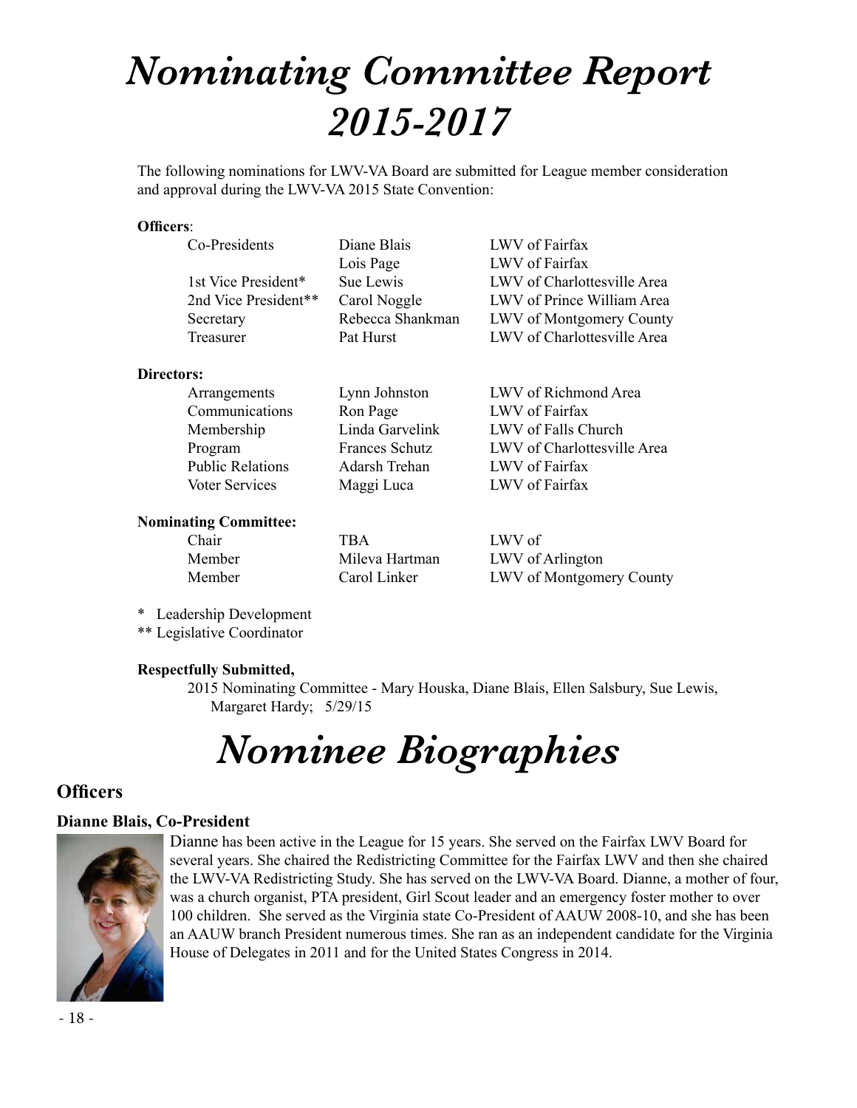# *Nominating Committee Report 2015-2017*

The following nominations for LWV-VA Board are submitted for League member consideration and approval during the LWV-VA 2015 State Convention:

### **Officers**:

| Co-Presidents        | Diane Blais      | LWV of Fairfax                  |
|----------------------|------------------|---------------------------------|
|                      | Lois Page        | LWV of Fairfax                  |
| 1st Vice President*  | Sue Lewis        | LWV of Charlottesville Area     |
| 2nd Vice President** | Carol Noggle     | LWV of Prince William Area      |
| Secretary            | Rebecca Shankman | <b>LWV</b> of Montgomery County |
| Treasurer            | Pat Hurst        | LWV of Charlottesville Area     |
|                      |                  |                                 |

#### **Directors:**

| Arrangements            | Lynn Johnston         | LWV of Richmond Area        |
|-------------------------|-----------------------|-----------------------------|
| Communications          | Ron Page              | LWV of Fairfax              |
| Membership              | Linda Garvelink       | LWV of Falls Church         |
| Program                 | <b>Frances Schutz</b> | LWV of Charlottesville Area |
| <b>Public Relations</b> | Adarsh Trehan         | LWV of Fairfax              |
| Voter Services          | Maggi Luca            | LWV of Fairfax              |
|                         |                       |                             |

## **Nominating Committee:**

| Chair  | TBA            | LWV of                          |
|--------|----------------|---------------------------------|
| Member | Mileva Hartman | LWV of Arlington                |
| Member | Carol Linker   | <b>LWV</b> of Montgomery County |

\* Leadership Development

\*\* Legislative Coordinator

# **Respectfully Submitted,**

2015 Nominating Committee - Mary Houska, Diane Blais, Ellen Salsbury, Sue Lewis, Margaret Hardy; 5/29/15

# *Nominee Biographies*

# **Officers**

# **Dianne Blais, Co-President**



Dianne has been active in the League for 15 years. She served on the Fairfax LWV Board for several years. She chaired the Redistricting Committee for the Fairfax LWV and then she chaired the LWV-VA Redistricting Study. She has served on the LWV-VA Board. Dianne, a mother of four, was a church organist, PTA president, Girl Scout leader and an emergency foster mother to over 100 children. She served as the Virginia state Co-President of AAUW 2008-10, and she has been an AAUW branch President numerous times. She ran as an independent candidate for the Virginia House of Delegates in 2011 and for the United States Congress in 2014.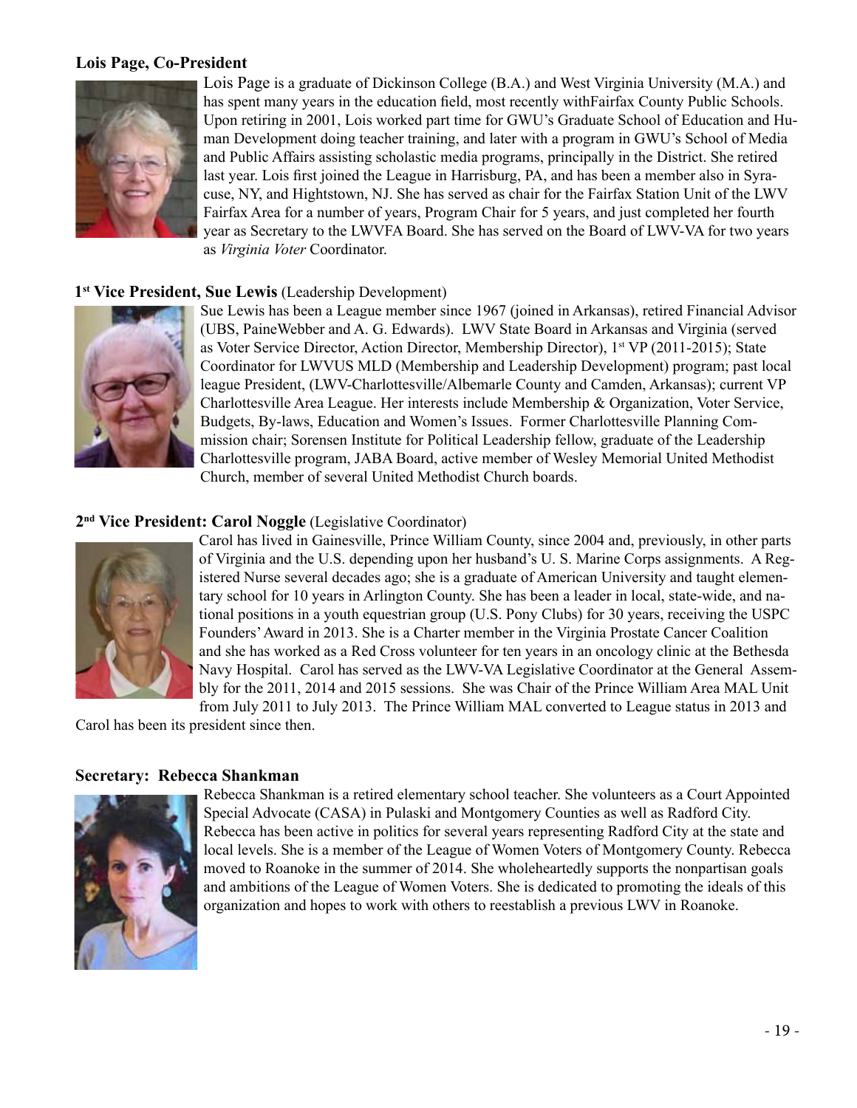# **Lois Page, Co-President**



Lois Page is a graduate of Dickinson College (B.A.) and West Virginia University (M.A.) and has spent many years in the education field, most recently withFairfax County Public Schools. Upon retiring in 2001, Lois worked part time for GWU's Graduate School of Education and Human Development doing teacher training, and later with a program in GWU's School of Media and Public Affairs assisting scholastic media programs, principally in the District. She retired last year. Lois first joined the League in Harrisburg, PA, and has been a member also in Syracuse, NY, and Hightstown, NJ. She has served as chair for the Fairfax Station Unit of the LWV Fairfax Area for a number of years, Program Chair for 5 years, and just completed her fourth year as Secretary to the LWVFA Board. She has served on the Board of LWV-VA for two years as *Virginia Voter* Coordinator.

# **1st Vice President, Sue Lewis** (Leadership Development)



Sue Lewis has been a League member since 1967 (joined in Arkansas), retired Financial Advisor (UBS, PaineWebber and A. G. Edwards). LWV State Board in Arkansas and Virginia (served as Voter Service Director, Action Director, Membership Director), 1st VP (2011-2015); State Coordinator for LWVUS MLD (Membership and Leadership Development) program; past local league President, (LWV-Charlottesville/Albemarle County and Camden, Arkansas); current VP Charlottesville Area League. Her interests include Membership & Organization, Voter Service, Budgets, By-laws, Education and Women's Issues. Former Charlottesville Planning Commission chair; Sorensen Institute for Political Leadership fellow, graduate of the Leadership Charlottesville program, JABA Board, active member of Wesley Memorial United Methodist Church, member of several United Methodist Church boards.

# **2nd Vice President: Carol Noggle** (Legislative Coordinator)



Carol has lived in Gainesville, Prince William County, since 2004 and, previously, in other parts of Virginia and the U.S. depending upon her husband's U. S. Marine Corps assignments. A Registered Nurse several decades ago; she is a graduate of American University and taught elementary school for 10 years in Arlington County. She has been a leader in local, state-wide, and national positions in a youth equestrian group (U.S. Pony Clubs) for 30 years, receiving the USPC Founders' Award in 2013. She is a Charter member in the Virginia Prostate Cancer Coalition and she has worked as a Red Cross volunteer for ten years in an oncology clinic at the Bethesda Navy Hospital. Carol has served as the LWV-VA Legislative Coordinator at the General Assembly for the 2011, 2014 and 2015 sessions. She was Chair of the Prince William Area MAL Unit from July 2011 to July 2013. The Prince William MAL converted to League status in 2013 and

Carol has been its president since then.

#### **Secretary: Rebecca Shankman**



Rebecca Shankman is a retired elementary school teacher. She volunteers as a Court Appointed Special Advocate (CASA) in Pulaski and Montgomery Counties as well as Radford City. Rebecca has been active in politics for several years representing Radford City at the state and local levels. She is a member of the League of Women Voters of Montgomery County. Rebecca moved to Roanoke in the summer of 2014. She wholeheartedly supports the nonpartisan goals and ambitions of the League of Women Voters. She is dedicated to promoting the ideals of this organization and hopes to work with others to reestablish a previous LWV in Roanoke.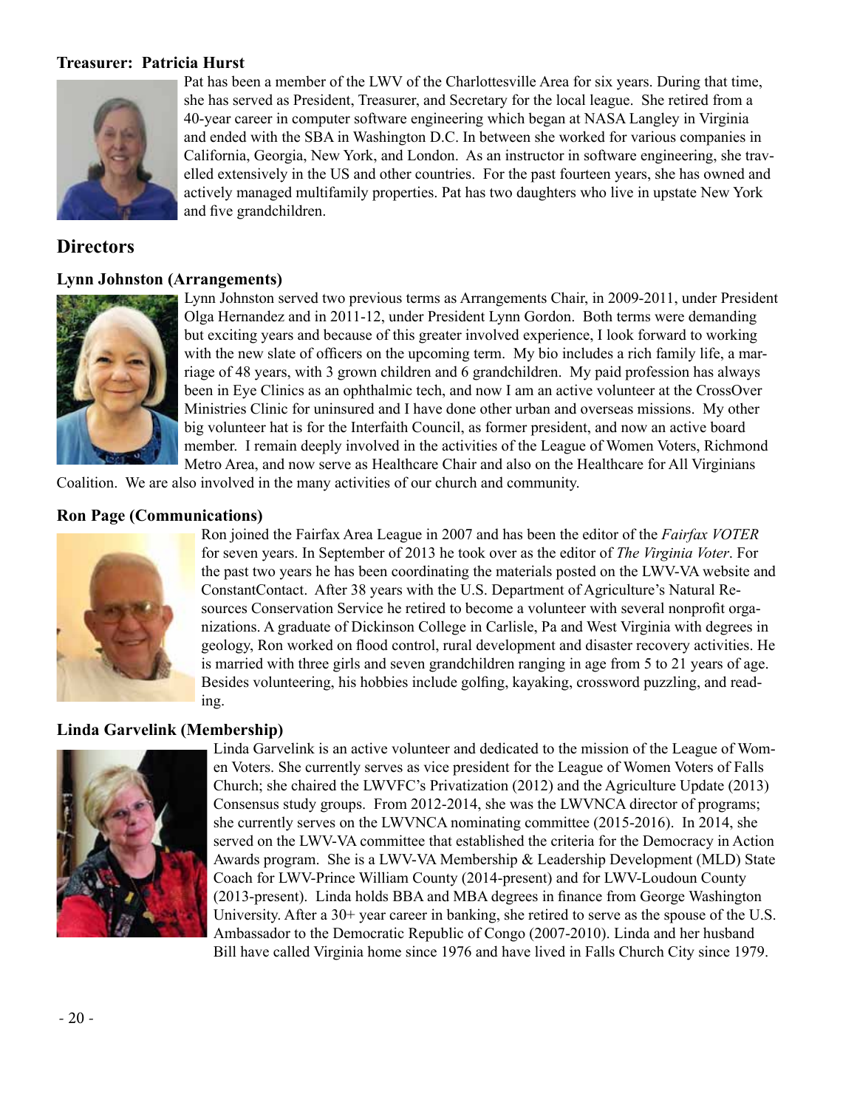# **Treasurer: Patricia Hurst**



Pat has been a member of the LWV of the Charlottesville Area for six years. During that time, she has served as President, Treasurer, and Secretary for the local league. She retired from a 40-year career in computer software engineering which began at NASA Langley in Virginia and ended with the SBA in Washington D.C. In between she worked for various companies in California, Georgia, New York, and London. As an instructor in software engineering, she travelled extensively in the US and other countries. For the past fourteen years, she has owned and actively managed multifamily properties. Pat has two daughters who live in upstate New York and five grandchildren.

# **Directors**

#### **Lynn Johnston (Arrangements)**



Lynn Johnston served two previous terms as Arrangements Chair, in 2009-2011, under President Olga Hernandez and in 2011-12, under President Lynn Gordon. Both terms were demanding but exciting years and because of this greater involved experience, I look forward to working with the new slate of officers on the upcoming term. My bio includes a rich family life, a marriage of 48 years, with 3 grown children and 6 grandchildren. My paid profession has always been in Eye Clinics as an ophthalmic tech, and now I am an active volunteer at the CrossOver Ministries Clinic for uninsured and I have done other urban and overseas missions. My other big volunteer hat is for the Interfaith Council, as former president, and now an active board member. I remain deeply involved in the activities of the League of Women Voters, Richmond Metro Area, and now serve as Healthcare Chair and also on the Healthcare for All Virginians

Coalition. We are also involved in the many activities of our church and community.

#### **Ron Page (Communications)**



Ron joined the Fairfax Area League in 2007 and has been the editor of the *Fairfax VOTER* for seven years. In September of 2013 he took over as the editor of *The Virginia Voter*. For the past two years he has been coordinating the materials posted on the LWV-VA website and ConstantContact. After 38 years with the U.S. Department of Agriculture's Natural Resources Conservation Service he retired to become a volunteer with several nonprofit organizations. A graduate of Dickinson College in Carlisle, Pa and West Virginia with degrees in geology, Ron worked on flood control, rural development and disaster recovery activities. He is married with three girls and seven grandchildren ranging in age from 5 to 21 years of age. Besides volunteering, his hobbies include golfing, kayaking, crossword puzzling, and reading.

# **Linda Garvelink (Membership)**



Linda Garvelink is an active volunteer and dedicated to the mission of the League of Women Voters. She currently serves as vice president for the League of Women Voters of Falls Church; she chaired the LWVFC's Privatization (2012) and the Agriculture Update (2013) Consensus study groups. From 2012-2014, she was the LWVNCA director of programs; she currently serves on the LWVNCA nominating committee (2015-2016). In 2014, she served on the LWV-VA committee that established the criteria for the Democracy in Action Awards program. She is a LWV-VA Membership & Leadership Development (MLD) State Coach for LWV-Prince William County (2014-present) and for LWV-Loudoun County (2013-present). Linda holds BBA and MBA degrees in finance from George Washington University. After a 30+ year career in banking, she retired to serve as the spouse of the U.S. Ambassador to the Democratic Republic of Congo (2007-2010). Linda and her husband Bill have called Virginia home since 1976 and have lived in Falls Church City since 1979.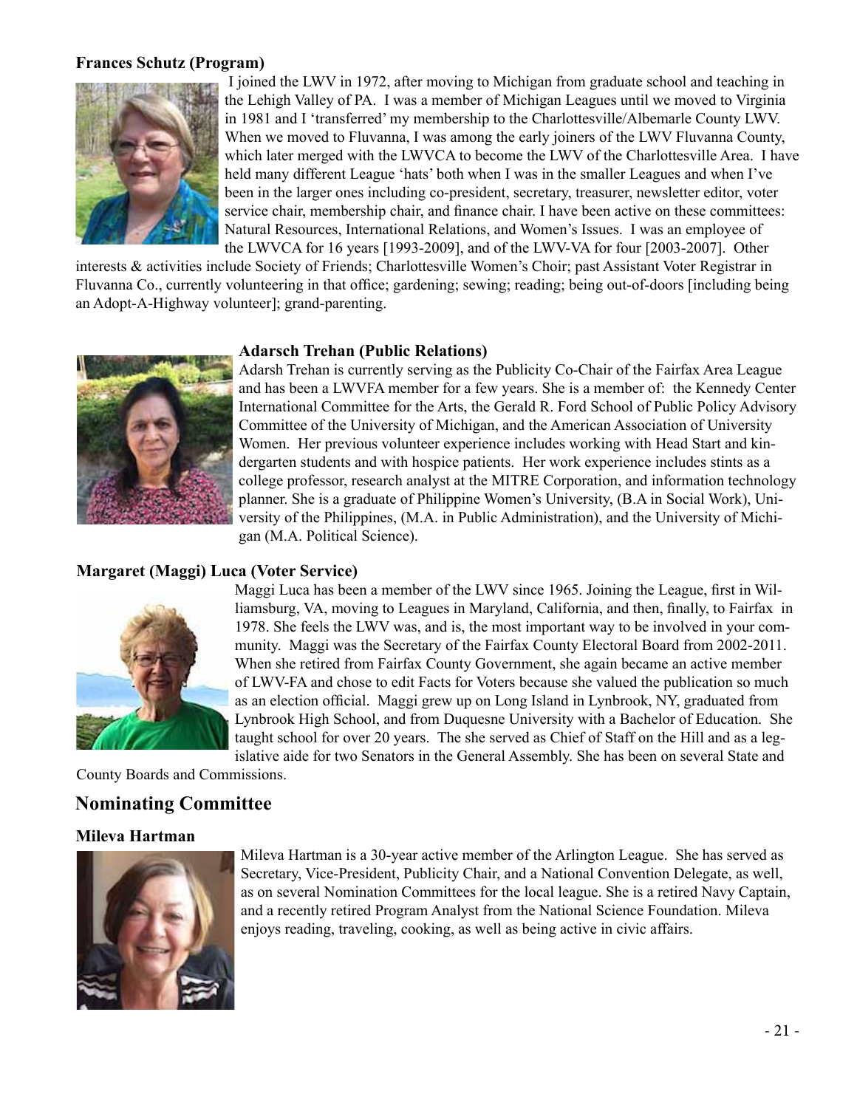# **Frances Schutz (Program)**



I joined the LWV in 1972, after moving to Michigan from graduate school and teaching in the Lehigh Valley of PA. I was a member of Michigan Leagues until we moved to Virginia in 1981 and I 'transferred' my membership to the Charlottesville/Albemarle County LWV. When we moved to Fluvanna, I was among the early joiners of the LWV Fluvanna County, which later merged with the LWVCA to become the LWV of the Charlottesville Area. I have held many different League 'hats' both when I was in the smaller Leagues and when I've been in the larger ones including co-president, secretary, treasurer, newsletter editor, voter service chair, membership chair, and finance chair. I have been active on these committees: Natural Resources, International Relations, and Women's Issues. I was an employee of the LWVCA for 16 years [1993-2009], and of the LWV-VA for four [2003-2007]. Other

interests & activities include Society of Friends; Charlottesville Women's Choir; past Assistant Voter Registrar in Fluvanna Co., currently volunteering in that office; gardening; sewing; reading; being out-of-doors [including being an Adopt-A-Highway volunteer]; grand-parenting.

## **Adarsch Trehan (Public Relations)**



Adarsh Trehan is currently serving as the Publicity Co-Chair of the Fairfax Area League and has been a LWVFA member for a few years. She is a member of: the Kennedy Center International Committee for the Arts, the Gerald R. Ford School of Public Policy Advisory Committee of the University of Michigan, and the American Association of University Women. Her previous volunteer experience includes working with Head Start and kindergarten students and with hospice patients. Her work experience includes stints as a college professor, research analyst at the MITRE Corporation, and information technology planner. She is a graduate of Philippine Women's University, (B.A in Social Work), University of the Philippines, (M.A. in Public Administration), and the University of Michigan (M.A. Political Science).

# **Margaret (Maggi) Luca (Voter Service)**



Maggi Luca has been a member of the LWV since 1965. Joining the League, first in Williamsburg, VA, moving to Leagues in Maryland, California, and then, finally, to Fairfax in 1978. She feels the LWV was, and is, the most important way to be involved in your community. Maggi was the Secretary of the Fairfax County Electoral Board from 2002-2011. When she retired from Fairfax County Government, she again became an active member of LWV-FA and chose to edit Facts for Voters because she valued the publication so much as an election official. Maggi grew up on Long Island in Lynbrook, NY, graduated from Lynbrook High School, and from Duquesne University with a Bachelor of Education. She taught school for over 20 years. The she served as Chief of Staff on the Hill and as a legislative aide for two Senators in the General Assembly. She has been on several State and

County Boards and Commissions.

# **Nominating Committee**

# **Mileva Hartman**



Mileva Hartman is a 30-year active member of the Arlington League. She has served as Secretary, Vice-President, Publicity Chair, and a National Convention Delegate, as well, as on several Nomination Committees for the local league. She is a retired Navy Captain, and a recently retired Program Analyst from the National Science Foundation. Mileva enjoys reading, traveling, cooking, as well as being active in civic affairs.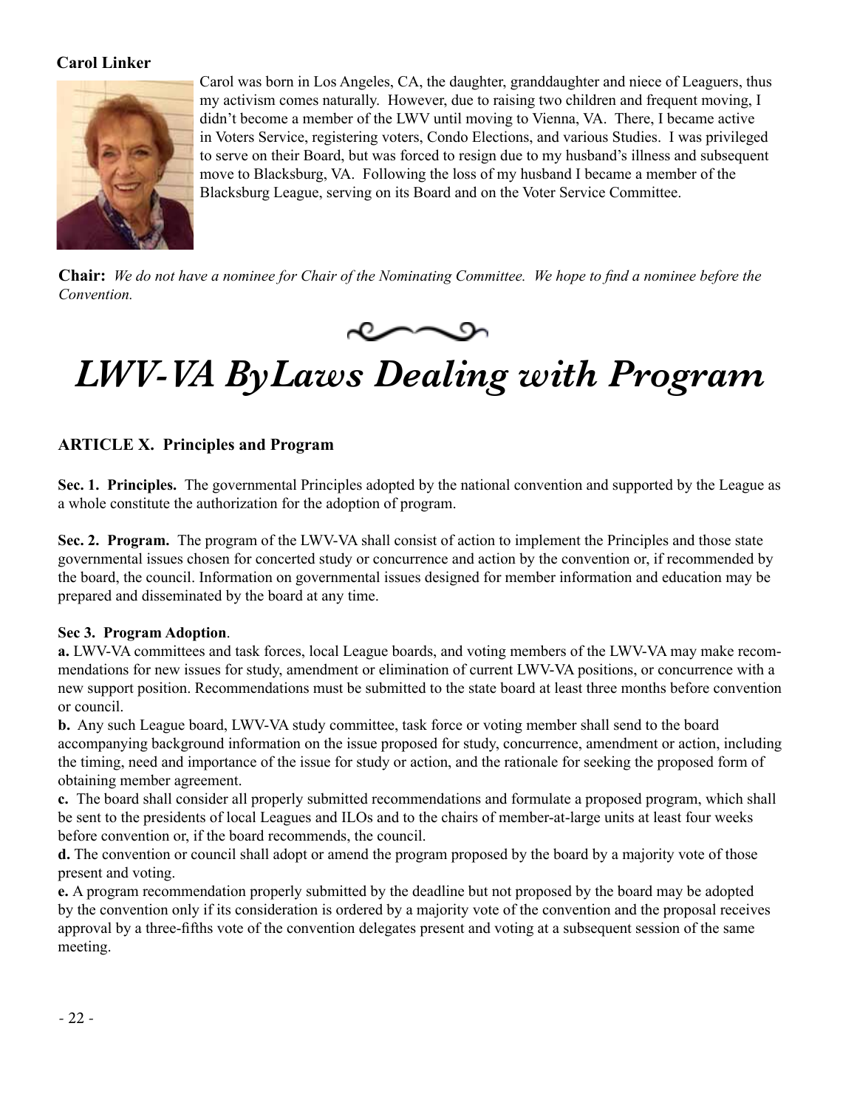# **Carol Linker**



Carol was born in Los Angeles, CA, the daughter, granddaughter and niece of Leaguers, thus my activism comes naturally. However, due to raising two children and frequent moving, I didn't become a member of the LWV until moving to Vienna, VA. There, I became active in Voters Service, registering voters, Condo Elections, and various Studies. I was privileged to serve on their Board, but was forced to resign due to my husband's illness and subsequent move to Blacksburg, VA. Following the loss of my husband I became a member of the Blacksburg League, serving on its Board and on the Voter Service Committee.

**Chair:** *We do not have a nominee for Chair of the Nominating Committee. We hope to find a nominee before the Convention.*



# *LWV-VA ByLaws Dealing with Program*

# **ARTICLE X. Principles and Program**

**Sec. 1. Principles.** The governmental Principles adopted by the national convention and supported by the League as a whole constitute the authorization for the adoption of program.

**Sec. 2. Program.** The program of the LWV-VA shall consist of action to implement the Principles and those state governmental issues chosen for concerted study or concurrence and action by the convention or, if recommended by the board, the council. Information on governmental issues designed for member information and education may be prepared and disseminated by the board at any time.

# **Sec 3. Program Adoption**.

**a.** LWV-VA committees and task forces, local League boards, and voting members of the LWV-VA may make recommendations for new issues for study, amendment or elimination of current LWV-VA positions, or concurrence with a new support position. Recommendations must be submitted to the state board at least three months before convention or council.

**b.** Any such League board, LWV-VA study committee, task force or voting member shall send to the board accompanying background information on the issue proposed for study, concurrence, amendment or action, including the timing, need and importance of the issue for study or action, and the rationale for seeking the proposed form of obtaining member agreement.

**c.** The board shall consider all properly submitted recommendations and formulate a proposed program, which shall be sent to the presidents of local Leagues and ILOs and to the chairs of member-at-large units at least four weeks before convention or, if the board recommends, the council.

**d.** The convention or council shall adopt or amend the program proposed by the board by a majority vote of those present and voting.

**e.** A program recommendation properly submitted by the deadline but not proposed by the board may be adopted by the convention only if its consideration is ordered by a majority vote of the convention and the proposal receives approval by a three-fifths vote of the convention delegates present and voting at a subsequent session of the same meeting.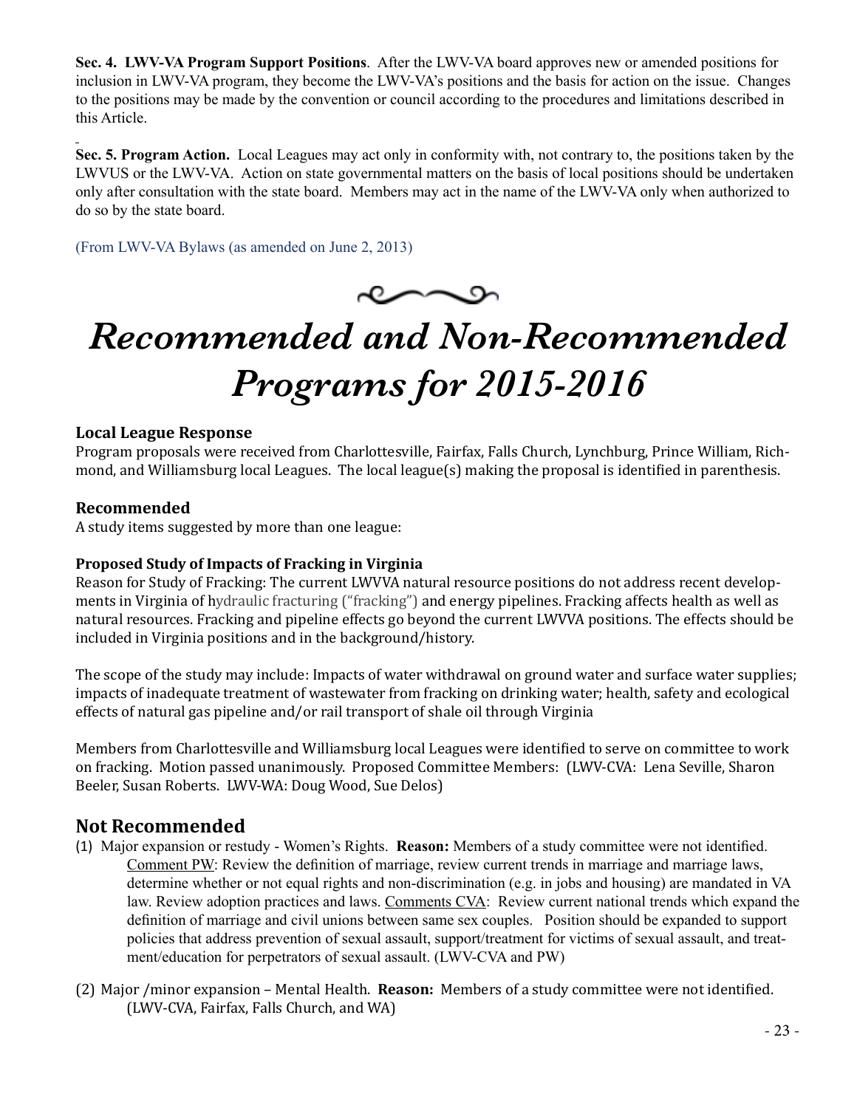**Sec. 4. LWV-VA Program Support Positions**. After the LWV-VA board approves new or amended positions for inclusion in LWV-VA program, they become the LWV-VA's positions and the basis for action on the issue. Changes to the positions may be made by the convention or council according to the procedures and limitations described in this Article.

**Sec. 5. Program Action.** Local Leagues may act only in conformity with, not contrary to, the positions taken by the LWVUS or the LWV-VA. Action on state governmental matters on the basis of local positions should be undertaken only after consultation with the state board. Members may act in the name of the LWV-VA only when authorized to do so by the state board.

(From LWV-VA Bylaws (as amended on June 2, 2013)



# *Recommended and Non-Recommended Programs for 2015-2016*

# **Local League Response**

Program proposals were received from Charlottesville, Fairfax, Falls Church, Lynchburg, Prince William, Richmond, and Williamsburg local Leagues. The local league(s) making the proposal is identified in parenthesis.

# **Recommended**

A study items suggested by more than one league:

# **Proposed Study of Impacts of Fracking in Virginia**

Reason for Study of Fracking: The current LWVVA natural resource positions do not address recent developments in Virginia of hydraulic fracturing ("fracking") and energy pipelines. Fracking affects health as well as natural resources. Fracking and pipeline effects go beyond the current LWVVA positions. The effects should be included in Virginia positions and in the background/history.

The scope of the study may include: Impacts of water withdrawal on ground water and surface water supplies; impacts of inadequate treatment of wastewater from fracking on drinking water; health, safety and ecological effects of natural gas pipeline and/or rail transport of shale oil through Virginia

Members from Charlottesville and Williamsburg local Leagues were identified to serve on committee to work on fracking. Motion passed unanimously. Proposed Committee Members: (LWV-CVA: Lena Seville, Sharon Beeler, Susan Roberts. LWV-WA: Doug Wood, Sue Delos)

# **Not Recommended**

- (1) Major expansion or restudy Women's Rights. **Reason:** Members of a study committee were not identified. Comment PW: Review the definition of marriage, review current trends in marriage and marriage laws, determine whether or not equal rights and non-discrimination (e.g. in jobs and housing) are mandated in VA law. Review adoption practices and laws. Comments CVA: Review current national trends which expand the definition of marriage and civil unions between same sex couples. Position should be expanded to support policies that address prevention of sexual assault, support/treatment for victims of sexual assault, and treatment/education for perpetrators of sexual assault. (LWV-CVA and PW)
- (2) Major /minor expansion Mental Health. **Reason:** Members of a study committee were not identified. (LWV-CVA, Fairfax, Falls Church, and WA)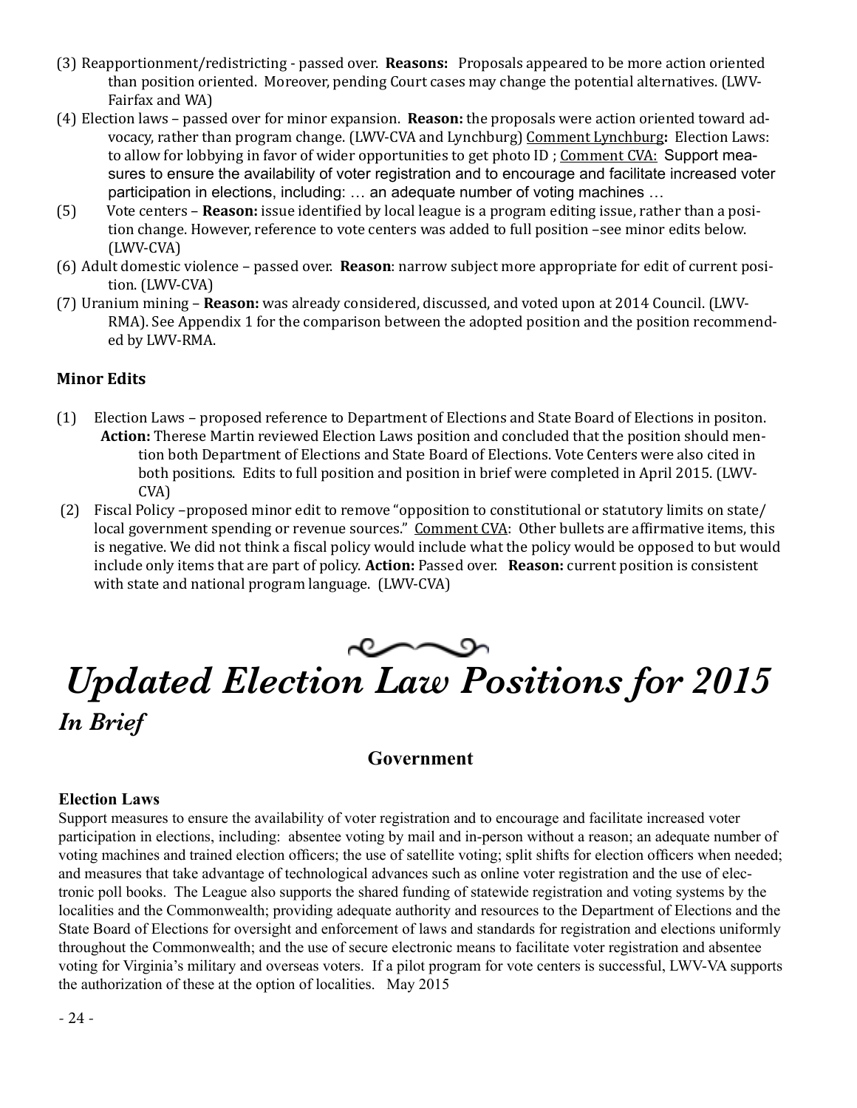- (3) Reapportionment/redistricting passed over. **Reasons:** Proposals appeared to be more action oriented than position oriented. Moreover, pending Court cases may change the potential alternatives. (LWV-Fairfax and WA)
- (4) Election laws passed over for minor expansion. **Reason:** the proposals were action oriented toward advocacy, rather than program change. (LWV-CVA and Lynchburg) Comment Lynchburg**:** Election Laws: to allow for lobbying in favor of wider opportunities to get photo ID ; Comment CVA: Support measures to ensure the availability of voter registration and to encourage and facilitate increased voter participation in elections, including: … an adequate number of voting machines …
- (5) Vote centers **Reason:** issue identified by local league is a program editing issue, rather than a position change. However, reference to vote centers was added to full position –see minor edits below. (LWV-CVA)
- (6) Adult domestic violence passed over. **Reason**: narrow subject more appropriate for edit of current position. (LWV-CVA)
- (7) Uranium mining **Reason:** was already considered, discussed, and voted upon at 2014 Council. (LWV-RMA). See Appendix 1 for the comparison between the adopted position and the position recommended by LWV-RMA.

# **Minor Edits**

- (1) Election Laws proposed reference to Department of Elections and State Board of Elections in positon. **Action:** Therese Martin reviewed Election Laws position and concluded that the position should mention both Department of Elections and State Board of Elections. Vote Centers were also cited in both positions. Edits to full position and position in brief were completed in April 2015. (LWV-CVA)
- (2) Fiscal Policy –proposed minor edit to remove "opposition to constitutional or statutory limits on state/ local government spending or revenue sources." Comment CVA: Other bullets are affirmative items, this is negative. We did not think a fiscal policy would include what the policy would be opposed to but would include only items that are part of policy. **Action:** Passed over. **Reason:** current position is consistent with state and national program language. (LWV-CVA)

# $\sim$ *Updated Election Law Positions for 2015 In Brief*

# **Government**

## **Election Laws**

Support measures to ensure the availability of voter registration and to encourage and facilitate increased voter participation in elections, including: absentee voting by mail and in-person without a reason; an adequate number of voting machines and trained election officers; the use of satellite voting; split shifts for election officers when needed; and measures that take advantage of technological advances such as online voter registration and the use of electronic poll books. The League also supports the shared funding of statewide registration and voting systems by the localities and the Commonwealth; providing adequate authority and resources to the Department of Elections and the State Board of Elections for oversight and enforcement of laws and standards for registration and elections uniformly throughout the Commonwealth; and the use of secure electronic means to facilitate voter registration and absentee voting for Virginia's military and overseas voters. If a pilot program for vote centers is successful, LWV-VA supports the authorization of these at the option of localities. May 2015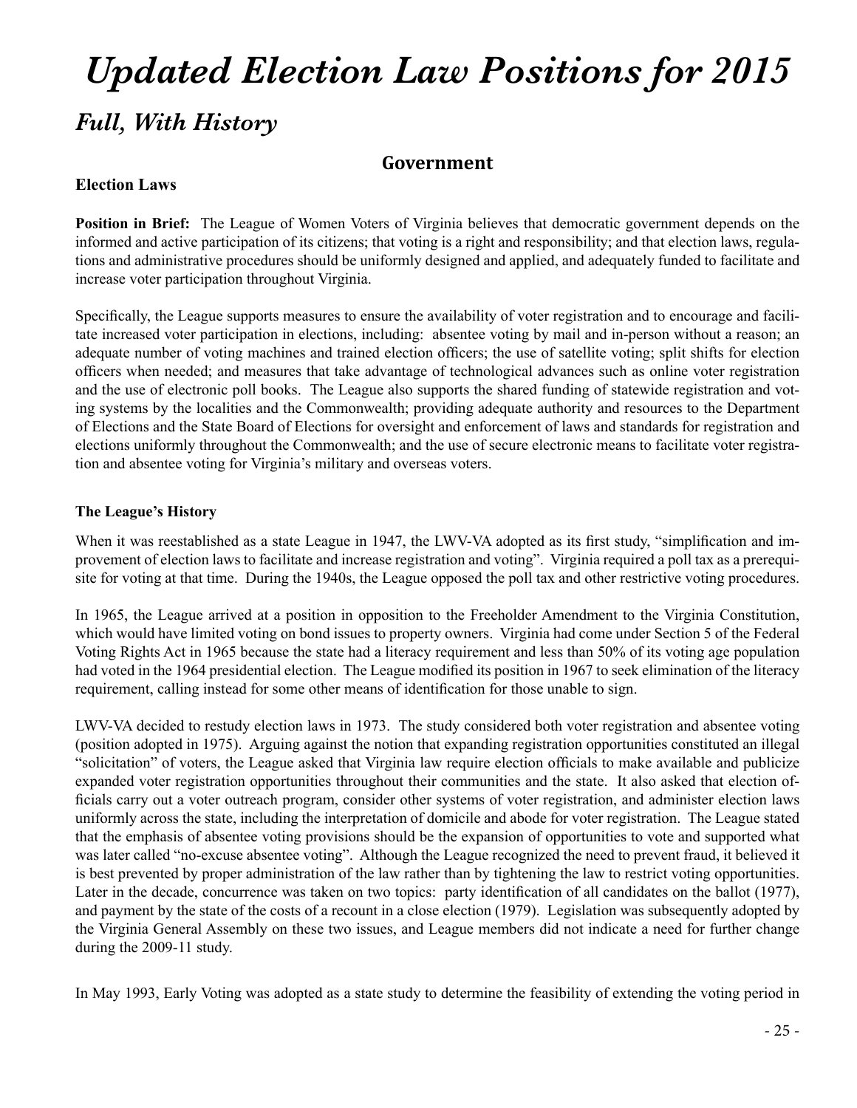# *Full, With History Updated Election Law Positions for 2015*

# **Government**

# **Election Laws**

**Position in Brief:** The League of Women Voters of Virginia believes that democratic government depends on the informed and active participation of its citizens; that voting is a right and responsibility; and that election laws, regulations and administrative procedures should be uniformly designed and applied, and adequately funded to facilitate and increase voter participation throughout Virginia.

Specifically, the League supports measures to ensure the availability of voter registration and to encourage and facilitate increased voter participation in elections, including: absentee voting by mail and in-person without a reason; an adequate number of voting machines and trained election officers; the use of satellite voting; split shifts for election officers when needed; and measures that take advantage of technological advances such as online voter registration and the use of electronic poll books. The League also supports the shared funding of statewide registration and voting systems by the localities and the Commonwealth; providing adequate authority and resources to the Department of Elections and the State Board of Elections for oversight and enforcement of laws and standards for registration and elections uniformly throughout the Commonwealth; and the use of secure electronic means to facilitate voter registration and absentee voting for Virginia's military and overseas voters.

# **The League's History**

When it was reestablished as a state League in 1947, the LWV-VA adopted as its first study, "simplification and improvement of election laws to facilitate and increase registration and voting". Virginia required a poll tax as a prerequisite for voting at that time. During the 1940s, the League opposed the poll tax and other restrictive voting procedures.

In 1965, the League arrived at a position in opposition to the Freeholder Amendment to the Virginia Constitution, which would have limited voting on bond issues to property owners. Virginia had come under Section 5 of the Federal Voting Rights Act in 1965 because the state had a literacy requirement and less than 50% of its voting age population had voted in the 1964 presidential election. The League modified its position in 1967 to seek elimination of the literacy requirement, calling instead for some other means of identification for those unable to sign.

LWV-VA decided to restudy election laws in 1973. The study considered both voter registration and absentee voting (position adopted in 1975). Arguing against the notion that expanding registration opportunities constituted an illegal "solicitation" of voters, the League asked that Virginia law require election officials to make available and publicize expanded voter registration opportunities throughout their communities and the state. It also asked that election officials carry out a voter outreach program, consider other systems of voter registration, and administer election laws uniformly across the state, including the interpretation of domicile and abode for voter registration. The League stated that the emphasis of absentee voting provisions should be the expansion of opportunities to vote and supported what was later called "no-excuse absentee voting". Although the League recognized the need to prevent fraud, it believed it is best prevented by proper administration of the law rather than by tightening the law to restrict voting opportunities. Later in the decade, concurrence was taken on two topics: party identification of all candidates on the ballot (1977), and payment by the state of the costs of a recount in a close election (1979). Legislation was subsequently adopted by the Virginia General Assembly on these two issues, and League members did not indicate a need for further change during the 2009-11 study.

In May 1993, Early Voting was adopted as a state study to determine the feasibility of extending the voting period in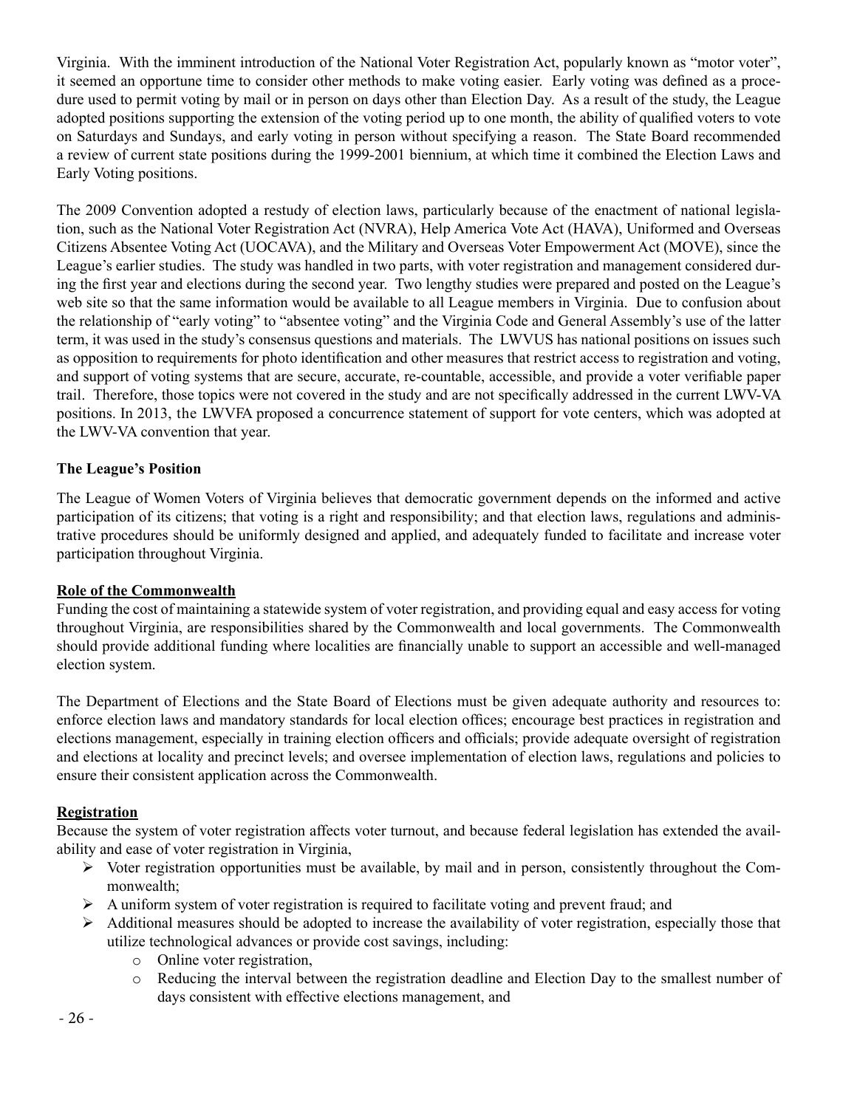Virginia. With the imminent introduction of the National Voter Registration Act, popularly known as "motor voter", it seemed an opportune time to consider other methods to make voting easier. Early voting was defined as a procedure used to permit voting by mail or in person on days other than Election Day. As a result of the study, the League adopted positions supporting the extension of the voting period up to one month, the ability of qualified voters to vote on Saturdays and Sundays, and early voting in person without specifying a reason. The State Board recommended a review of current state positions during the 1999-2001 biennium, at which time it combined the Election Laws and Early Voting positions.

The 2009 Convention adopted a restudy of election laws, particularly because of the enactment of national legislation, such as the National Voter Registration Act (NVRA), Help America Vote Act (HAVA), Uniformed and Overseas Citizens Absentee Voting Act (UOCAVA), and the Military and Overseas Voter Empowerment Act (MOVE), since the League's earlier studies. The study was handled in two parts, with voter registration and management considered during the first year and elections during the second year. Two lengthy studies were prepared and posted on the League's web site so that the same information would be available to all League members in Virginia. Due to confusion about the relationship of "early voting" to "absentee voting" and the Virginia Code and General Assembly's use of the latter term, it was used in the study's consensus questions and materials. The LWVUS has national positions on issues such as opposition to requirements for photo identification and other measures that restrict access to registration and voting, and support of voting systems that are secure, accurate, re-countable, accessible, and provide a voter verifiable paper trail. Therefore, those topics were not covered in the study and are not specifically addressed in the current LWV-VA positions. In 2013, the LWVFA proposed a concurrence statement of support for vote centers, which was adopted at the LWV-VA convention that year.

## **The League's Position**

The League of Women Voters of Virginia believes that democratic government depends on the informed and active participation of its citizens; that voting is a right and responsibility; and that election laws, regulations and administrative procedures should be uniformly designed and applied, and adequately funded to facilitate and increase voter participation throughout Virginia.

#### **Role of the Commonwealth**

Funding the cost of maintaining a statewide system of voter registration, and providing equal and easy access for voting throughout Virginia, are responsibilities shared by the Commonwealth and local governments. The Commonwealth should provide additional funding where localities are financially unable to support an accessible and well-managed election system.

The Department of Elections and the State Board of Elections must be given adequate authority and resources to: enforce election laws and mandatory standards for local election offices; encourage best practices in registration and elections management, especially in training election officers and officials; provide adequate oversight of registration and elections at locality and precinct levels; and oversee implementation of election laws, regulations and policies to ensure their consistent application across the Commonwealth.

# **Registration**

Because the system of voter registration affects voter turnout, and because federal legislation has extended the availability and ease of voter registration in Virginia,

- $\triangleright$  Voter registration opportunities must be available, by mail and in person, consistently throughout the Commonwealth;
- $\triangleright$  A uniform system of voter registration is required to facilitate voting and prevent fraud; and
- $\triangleright$  Additional measures should be adopted to increase the availability of voter registration, especially those that utilize technological advances or provide cost savings, including:
	- o Online voter registration,
	- o Reducing the interval between the registration deadline and Election Day to the smallest number of days consistent with effective elections management, and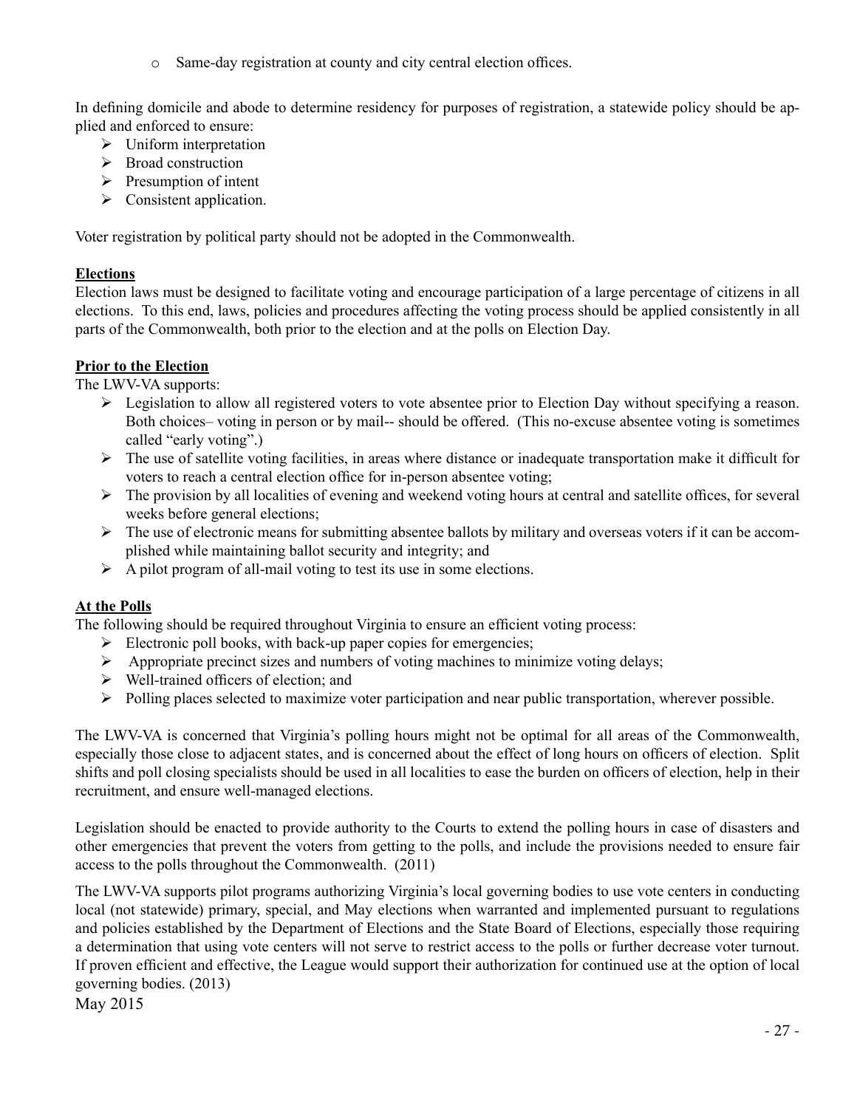o Same-day registration at county and city central election offices.

In defining domicile and abode to determine residency for purposes of registration, a statewide policy should be applied and enforced to ensure:

- $\triangleright$  Uniform interpretation
- $\triangleright$  Broad construction
- $\triangleright$  Presumption of intent
- $\triangleright$  Consistent application.

Voter registration by political party should not be adopted in the Commonwealth.

# **Elections**

Election laws must be designed to facilitate voting and encourage participation of a large percentage of citizens in all elections. To this end, laws, policies and procedures affecting the voting process should be applied consistently in all parts of the Commonwealth, both prior to the election and at the polls on Election Day.

# **Prior to the Election**

The LWV-VA supports:

- $\triangleright$  Legislation to allow all registered voters to vote absentee prior to Election Day without specifying a reason. Both choices– voting in person or by mail-- should be offered. (This no-excuse absentee voting is sometimes called "early voting".)
- $\triangleright$  The use of satellite voting facilities, in areas where distance or inadequate transportation make it difficult for voters to reach a central election office for in-person absentee voting;
- $\triangleright$  The provision by all localities of evening and weekend voting hours at central and satellite offices, for several weeks before general elections;
- $\triangleright$  The use of electronic means for submitting absentee ballots by military and overseas voters if it can be accomplished while maintaining ballot security and integrity; and
- $\triangleright$  A pilot program of all-mail voting to test its use in some elections.

# **At the Polls**

The following should be required throughout Virginia to ensure an efficient voting process:

- $\triangleright$  Electronic poll books, with back-up paper copies for emergencies;
- $\triangleright$  Appropriate precinct sizes and numbers of voting machines to minimize voting delays;
- $\triangleright$  Well-trained officers of election; and
- Ø Polling places selected to maximize voter participation and near public transportation, wherever possible.

The LWV-VA is concerned that Virginia's polling hours might not be optimal for all areas of the Commonwealth, especially those close to adjacent states, and is concerned about the effect of long hours on officers of election. Split shifts and poll closing specialists should be used in all localities to ease the burden on officers of election, help in their recruitment, and ensure well-managed elections.

Legislation should be enacted to provide authority to the Courts to extend the polling hours in case of disasters and other emergencies that prevent the voters from getting to the polls, and include the provisions needed to ensure fair access to the polls throughout the Commonwealth. (2011)

The LWV-VA supports pilot programs authorizing Virginia's local governing bodies to use vote centers in conducting local (not statewide) primary, special, and May elections when warranted and implemented pursuant to regulations and policies established by the Department of Elections and the State Board of Elections, especially those requiring a determination that using vote centers will not serve to restrict access to the polls or further decrease voter turnout. If proven efficient and effective, the League would support their authorization for continued use at the option of local governing bodies. (2013)

May 2015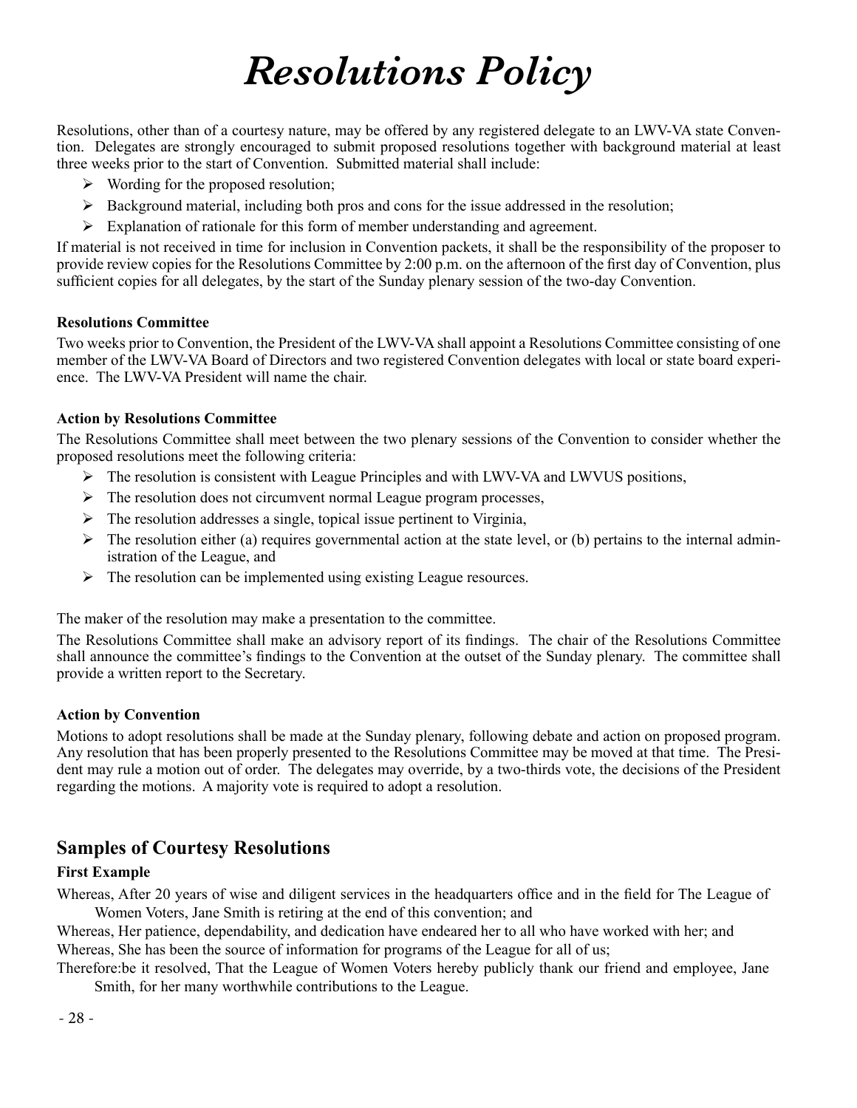# *Resolutions Policy*

Resolutions, other than of a courtesy nature, may be offered by any registered delegate to an LWV-VA state Convention. Delegates are strongly encouraged to submit proposed resolutions together with background material at least three weeks prior to the start of Convention. Submitted material shall include:

- $\triangleright$  Wording for the proposed resolution;
- $\triangleright$  Background material, including both pros and cons for the issue addressed in the resolution;
- $\triangleright$  Explanation of rationale for this form of member understanding and agreement.

If material is not received in time for inclusion in Convention packets, it shall be the responsibility of the proposer to provide review copies for the Resolutions Committee by 2:00 p.m. on the afternoon of the first day of Convention, plus sufficient copies for all delegates, by the start of the Sunday plenary session of the two-day Convention.

#### **Resolutions Committee**

Two weeks prior to Convention, the President of the LWV-VA shall appoint a Resolutions Committee consisting of one member of the LWV-VA Board of Directors and two registered Convention delegates with local or state board experience. The LWV-VA President will name the chair.

#### **Action by Resolutions Committee**

The Resolutions Committee shall meet between the two plenary sessions of the Convention to consider whether the proposed resolutions meet the following criteria:

- $\triangleright$  The resolution is consistent with League Principles and with LWV-VA and LWVUS positions,
- $\triangleright$  The resolution does not circumvent normal League program processes,
- $\triangleright$  The resolution addresses a single, topical issue pertinent to Virginia,
- $\triangleright$  The resolution either (a) requires governmental action at the state level, or (b) pertains to the internal administration of the League, and
- $\triangleright$  The resolution can be implemented using existing League resources.

The maker of the resolution may make a presentation to the committee.

The Resolutions Committee shall make an advisory report of its findings. The chair of the Resolutions Committee shall announce the committee's findings to the Convention at the outset of the Sunday plenary. The committee shall provide a written report to the Secretary.

## **Action by Convention**

Motions to adopt resolutions shall be made at the Sunday plenary, following debate and action on proposed program. Any resolution that has been properly presented to the Resolutions Committee may be moved at that time. The President may rule a motion out of order. The delegates may override, by a two-thirds vote, the decisions of the President regarding the motions. A majority vote is required to adopt a resolution.

# **Samples of Courtesy Resolutions**

# **First Example**

Whereas, After 20 years of wise and diligent services in the headquarters office and in the field for The League of Women Voters, Jane Smith is retiring at the end of this convention; and

Whereas, Her patience, dependability, and dedication have endeared her to all who have worked with her; and Whereas, She has been the source of information for programs of the League for all of us;

Therefore:be it resolved, That the League of Women Voters hereby publicly thank our friend and employee, Jane Smith, for her many worthwhile contributions to the League.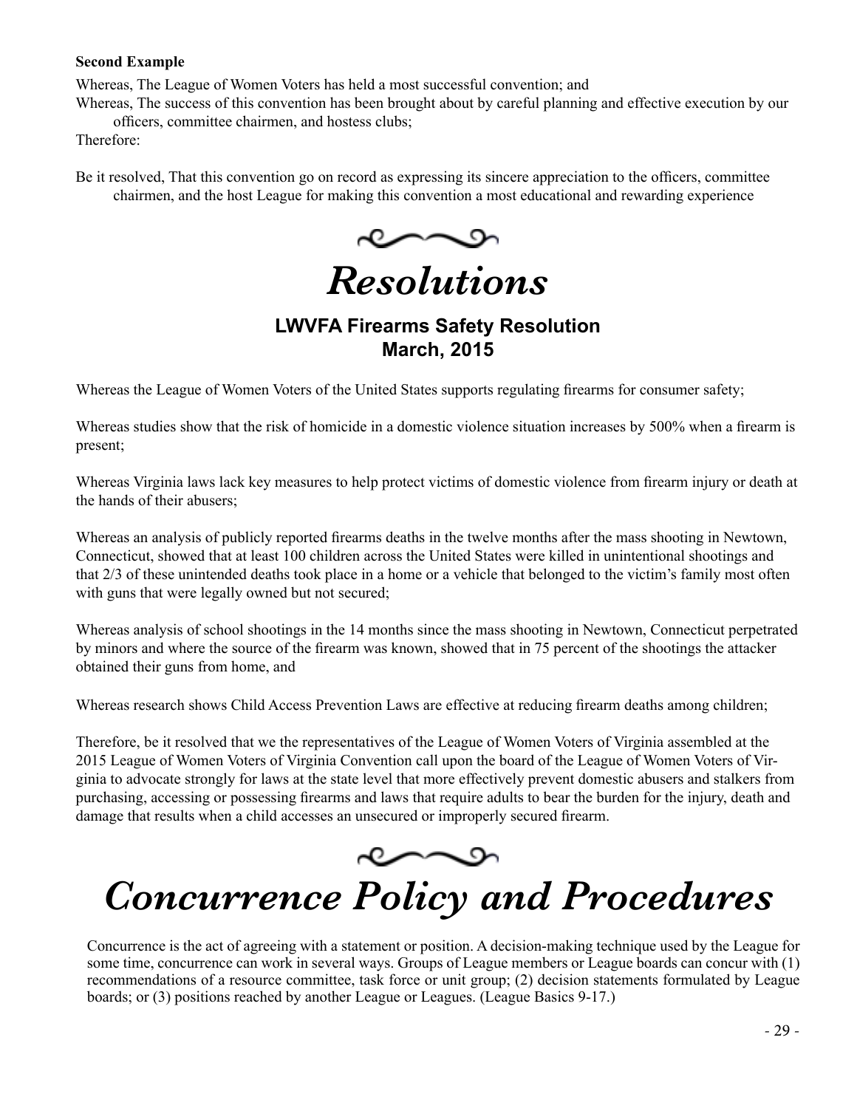## **Second Example**

Whereas, The League of Women Voters has held a most successful convention; and

Whereas, The success of this convention has been brought about by careful planning and effective execution by our officers, committee chairmen, and hostess clubs;

Therefore:

Be it resolved, That this convention go on record as expressing its sincere appreciation to the officers, committee chairmen, and the host League for making this convention a most educational and rewarding experience

*Resolutions*

# **LWVFA Firearms Safety Resolution March, 2015**

Whereas the League of Women Voters of the United States supports regulating firearms for consumer safety;

Whereas studies show that the risk of homicide in a domestic violence situation increases by 500% when a firearm is present;

Whereas Virginia laws lack key measures to help protect victims of domestic violence from firearm injury or death at the hands of their abusers;

Whereas an analysis of publicly reported firearms deaths in the twelve months after the mass shooting in Newtown, Connecticut, showed that at least 100 children across the United States were killed in unintentional shootings and that 2/3 of these unintended deaths took place in a home or a vehicle that belonged to the victim's family most often with guns that were legally owned but not secured;

Whereas analysis of school shootings in the 14 months since the mass shooting in Newtown, Connecticut perpetrated by minors and where the source of the firearm was known, showed that in 75 percent of the shootings the attacker obtained their guns from home, and

Whereas research shows Child Access Prevention Laws are effective at reducing firearm deaths among children;

Therefore, be it resolved that we the representatives of the League of Women Voters of Virginia assembled at the 2015 League of Women Voters of Virginia Convention call upon the board of the League of Women Voters of Virginia to advocate strongly for laws at the state level that more effectively prevent domestic abusers and stalkers from purchasing, accessing or possessing firearms and laws that require adults to bear the burden for the injury, death and damage that results when a child accesses an unsecured or improperly secured firearm.



# *Concurrence Policy and Procedures*

Concurrence is the act of agreeing with a statement or position. A decision-making technique used by the League for some time, concurrence can work in several ways. Groups of League members or League boards can concur with (1) recommendations of a resource committee, task force or unit group; (2) decision statements formulated by League boards; or (3) positions reached by another League or Leagues. (League Basics 9-17.)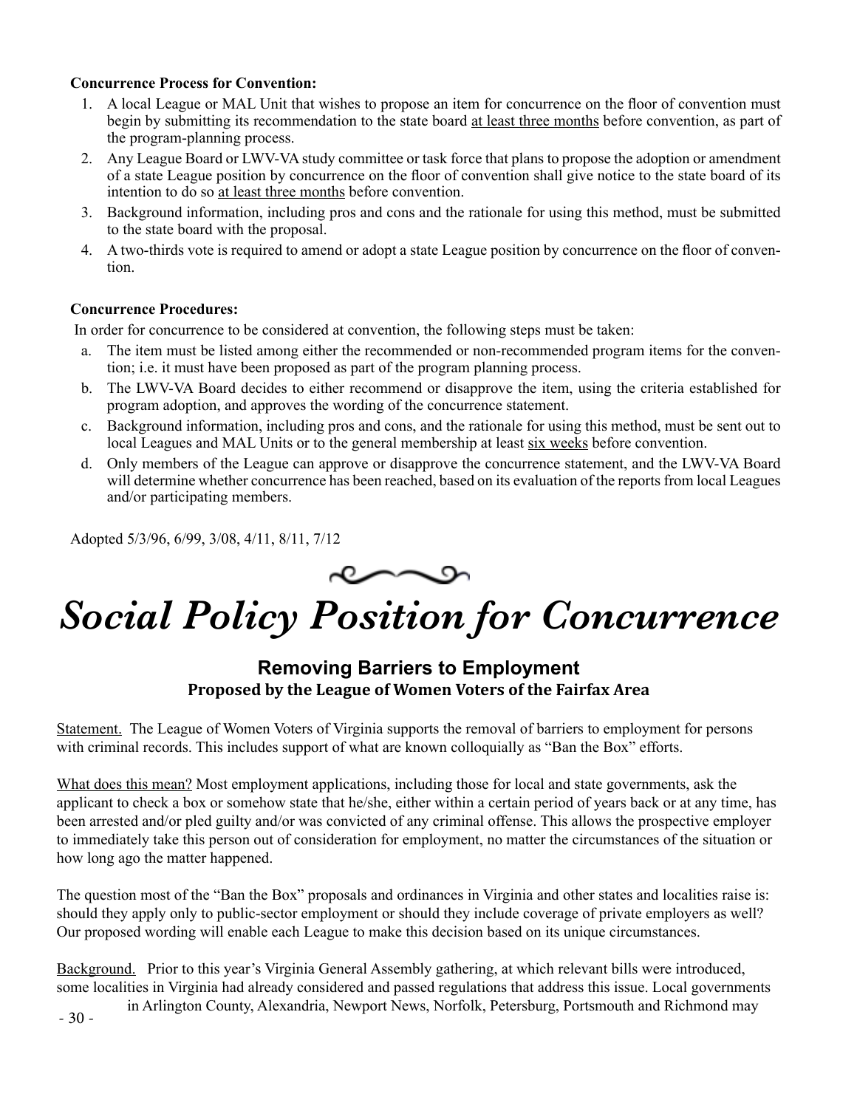# **Concurrence Process for Convention:**

- 1. A local League or MAL Unit that wishes to propose an item for concurrence on the floor of convention must begin by submitting its recommendation to the state board at least three months before convention, as part of the program-planning process.
- 2. Any League Board or LWV-VA study committee or task force that plans to propose the adoption or amendment of a state League position by concurrence on the floor of convention shall give notice to the state board of its intention to do so at least three months before convention.
- 3. Background information, including pros and cons and the rationale for using this method, must be submitted to the state board with the proposal.
- 4. A two-thirds vote is required to amend or adopt a state League position by concurrence on the floor of convention.

## **Concurrence Procedures:**

In order for concurrence to be considered at convention, the following steps must be taken:

- a. The item must be listed among either the recommended or non-recommended program items for the convention; i.e. it must have been proposed as part of the program planning process.
- b. The LWV-VA Board decides to either recommend or disapprove the item, using the criteria established for program adoption, and approves the wording of the concurrence statement.
- c. Background information, including pros and cons, and the rationale for using this method, must be sent out to local Leagues and MAL Units or to the general membership at least six weeks before convention.
- d. Only members of the League can approve or disapprove the concurrence statement, and the LWV-VA Board will determine whether concurrence has been reached, based on its evaluation of the reports from local Leagues and/or participating members.

Adopted 5/3/96, 6/99, 3/08, 4/11, 8/11, 7/12

# *Social Policy Position for Concurrence*

# **Removing Barriers to Employment Proposed by the League of Women Voters of the Fairfax Area**

Statement. The League of Women Voters of Virginia supports the removal of barriers to employment for persons with criminal records. This includes support of what are known colloquially as "Ban the Box" efforts.

What does this mean? Most employment applications, including those for local and state governments, ask the applicant to check a box or somehow state that he/she, either within a certain period of years back or at any time, has been arrested and/or pled guilty and/or was convicted of any criminal offense. This allows the prospective employer to immediately take this person out of consideration for employment, no matter the circumstances of the situation or how long ago the matter happened.

The question most of the "Ban the Box" proposals and ordinances in Virginia and other states and localities raise is: should they apply only to public-sector employment or should they include coverage of private employers as well? Our proposed wording will enable each League to make this decision based on its unique circumstances.

Background. Prior to this year's Virginia General Assembly gathering, at which relevant bills were introduced, some localities in Virginia had already considered and passed regulations that address this issue. Local governments in Arlington County, Alexandria, Newport News, Norfolk, Petersburg, Portsmouth and Richmond may

- 30 -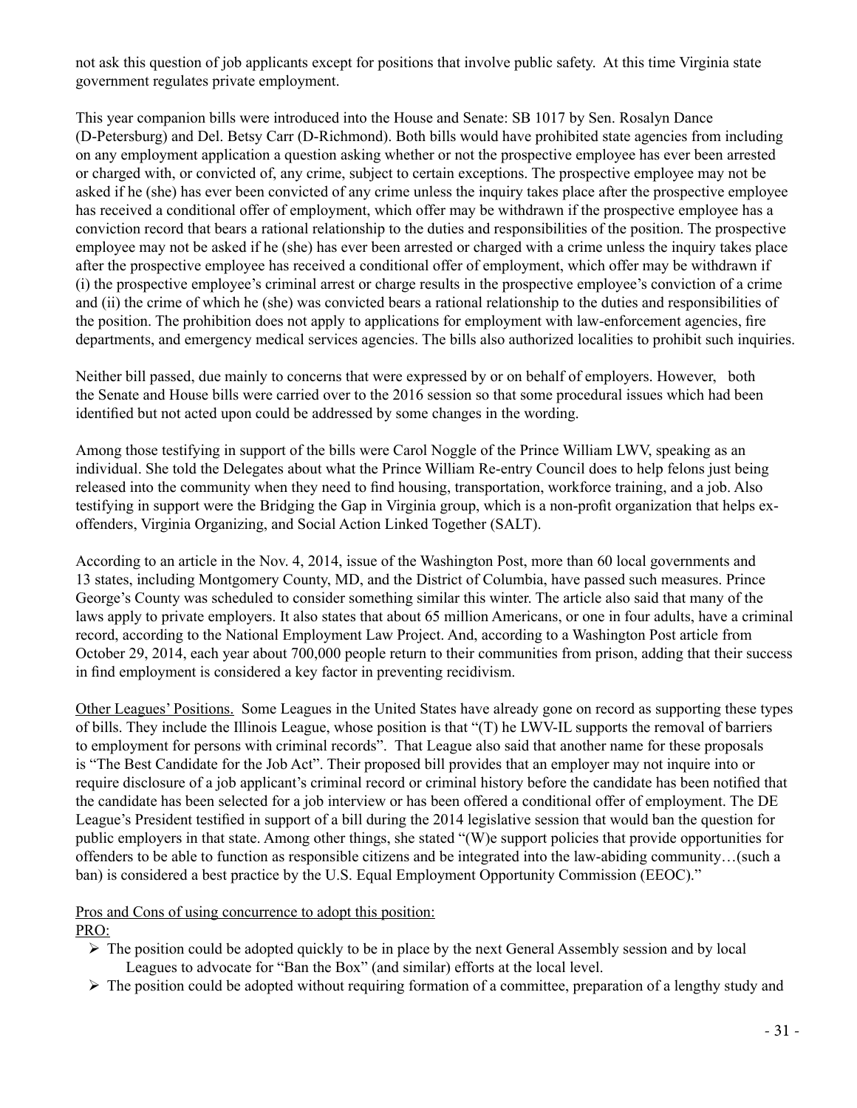not ask this question of job applicants except for positions that involve public safety. At this time Virginia state government regulates private employment.

This year companion bills were introduced into the House and Senate: SB 1017 by Sen. Rosalyn Dance (D-Petersburg) and Del. Betsy Carr (D-Richmond). Both bills would have prohibited state agencies from including on any employment application a question asking whether or not the prospective employee has ever been arrested or charged with, or convicted of, any crime, subject to certain exceptions. The prospective employee may not be asked if he (she) has ever been convicted of any crime unless the inquiry takes place after the prospective employee has received a conditional offer of employment, which offer may be withdrawn if the prospective employee has a conviction record that bears a rational relationship to the duties and responsibilities of the position. The prospective employee may not be asked if he (she) has ever been arrested or charged with a crime unless the inquiry takes place after the prospective employee has received a conditional offer of employment, which offer may be withdrawn if (i) the prospective employee's criminal arrest or charge results in the prospective employee's conviction of a crime and (ii) the crime of which he (she) was convicted bears a rational relationship to the duties and responsibilities of the position. The prohibition does not apply to applications for employment with law-enforcement agencies, fire departments, and emergency medical services agencies. The bills also authorized localities to prohibit such inquiries.

Neither bill passed, due mainly to concerns that were expressed by or on behalf of employers. However, both the Senate and House bills were carried over to the 2016 session so that some procedural issues which had been identified but not acted upon could be addressed by some changes in the wording.

Among those testifying in support of the bills were Carol Noggle of the Prince William LWV, speaking as an individual. She told the Delegates about what the Prince William Re-entry Council does to help felons just being released into the community when they need to find housing, transportation, workforce training, and a job. Also testifying in support were the Bridging the Gap in Virginia group, which is a non-profit organization that helps exoffenders, Virginia Organizing, and Social Action Linked Together (SALT).

According to an article in the Nov. 4, 2014, issue of the Washington Post, more than 60 local governments and 13 states, including Montgomery County, MD, and the District of Columbia, have passed such measures. Prince George's County was scheduled to consider something similar this winter. The article also said that many of the laws apply to private employers. It also states that about 65 million Americans, or one in four adults, have a criminal record, according to the National Employment Law Project. And, according to a Washington Post article from October 29, 2014, each year about 700,000 people return to their communities from prison, adding that their success in find employment is considered a key factor in preventing recidivism.

Other Leagues' Positions. Some Leagues in the United States have already gone on record as supporting these types of bills. They include the Illinois League, whose position is that "(T) he LWV-IL supports the removal of barriers to employment for persons with criminal records". That League also said that another name for these proposals is "The Best Candidate for the Job Act". Their proposed bill provides that an employer may not inquire into or require disclosure of a job applicant's criminal record or criminal history before the candidate has been notified that the candidate has been selected for a job interview or has been offered a conditional offer of employment. The DE League's President testified in support of a bill during the 2014 legislative session that would ban the question for public employers in that state. Among other things, she stated "(W)e support policies that provide opportunities for offenders to be able to function as responsible citizens and be integrated into the law-abiding community…(such a ban) is considered a best practice by the U.S. Equal Employment Opportunity Commission (EEOC)."

Pros and Cons of using concurrence to adopt this position:

PRO:

- $\triangleright$  The position could be adopted quickly to be in place by the next General Assembly session and by local Leagues to advocate for "Ban the Box" (and similar) efforts at the local level.
- $\triangleright$  The position could be adopted without requiring formation of a committee, preparation of a lengthy study and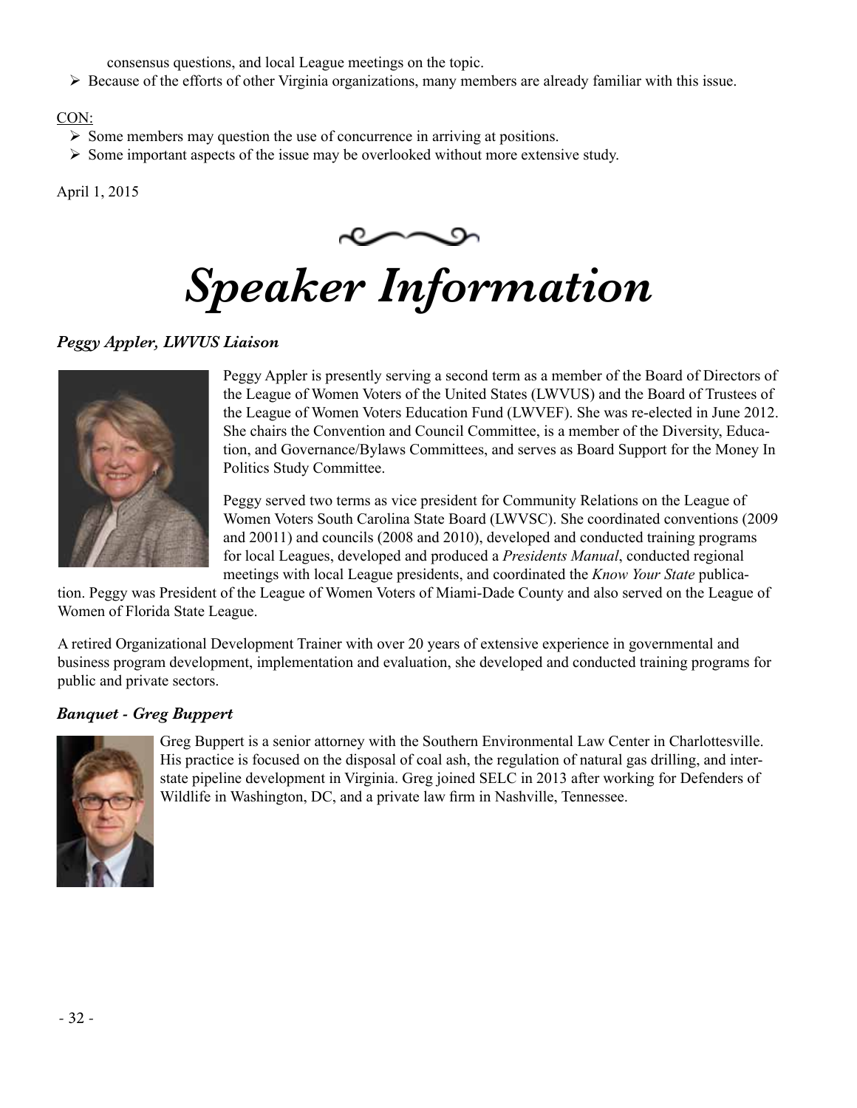consensus questions, and local League meetings on the topic.

 $\triangleright$  Because of the efforts of other Virginia organizations, many members are already familiar with this issue.

# CON:

- $\triangleright$  Some members may question the use of concurrence in arriving at positions.
- $\triangleright$  Some important aspects of the issue may be overlooked without more extensive study.

April 1, 2015



# *Speaker Information*

# *Peggy Appler, LWVUS Liaison*



Peggy Appler is presently serving a second term as a member of the Board of Directors of the League of Women Voters of the United States (LWVUS) and the Board of Trustees of the League of Women Voters Education Fund (LWVEF). She was re-elected in June 2012. She chairs the Convention and Council Committee, is a member of the Diversity, Education, and Governance/Bylaws Committees, and serves as Board Support for the Money In Politics Study Committee.

Peggy served two terms as vice president for Community Relations on the League of Women Voters South Carolina State Board (LWVSC). She coordinated conventions (2009 and 20011) and councils (2008 and 2010), developed and conducted training programs for local Leagues, developed and produced a *Presidents Manual*, conducted regional meetings with local League presidents, and coordinated the *Know Your State* publica-

tion. Peggy was President of the League of Women Voters of Miami-Dade County and also served on the League of Women of Florida State League.

A retired Organizational Development Trainer with over 20 years of extensive experience in governmental and business program development, implementation and evaluation, she developed and conducted training programs for public and private sectors.

# *Banquet - Greg Buppert*



Greg Buppert is a senior attorney with the Southern Environmental Law Center in Charlottesville. His practice is focused on the disposal of coal ash, the regulation of natural gas drilling, and interstate pipeline development in Virginia. Greg joined SELC in 2013 after working for Defenders of Wildlife in Washington, DC, and a private law firm in Nashville, Tennessee.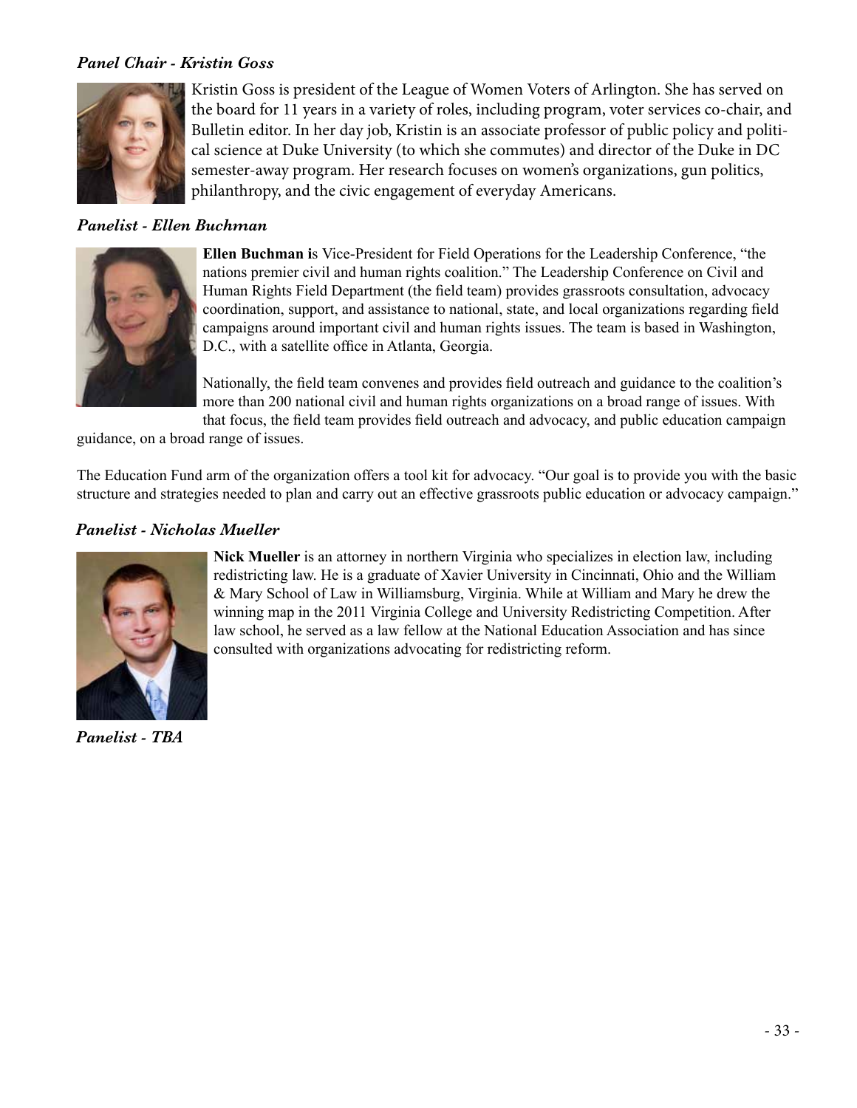# *Panel Chair - Kristin Goss*



Kristin Goss is president of the League of Women Voters of Arlington. She has served on the board for 11 years in a variety of roles, including program, voter services co-chair, and Bulletin editor. In her day job, Kristin is an associate professor of public policy and political science at Duke University (to which she commutes) and director of the Duke in DC semester-away program. Her research focuses on women's organizations, gun politics, philanthropy, and the civic engagement of everyday Americans.

# *Panelist - Ellen Buchman*



**Ellen Buchman i**s Vice-President for Field Operations for the Leadership Conference, "the nations premier civil and human rights coalition." The Leadership Conference on Civil and Human Rights Field Department (the field team) provides grassroots consultation, advocacy coordination, support, and assistance to national, state, and local organizations regarding field campaigns around important civil and human rights issues. The team is based in Washington, D.C., with a satellite office in Atlanta, Georgia.

Nationally, the field team convenes and provides field outreach and guidance to the coalition's more than 200 national civil and human rights organizations on a broad range of issues. With that focus, the field team provides field outreach and advocacy, and public education campaign

guidance, on a broad range of issues.

The Education Fund arm of the organization offers a tool kit for advocacy. "Our goal is to provide you with the basic structure and strategies needed to plan and carry out an effective grassroots public education or advocacy campaign."

# *Panelist - Nicholas Mueller*



*Panelist - TBA*

**Nick Mueller** is an attorney in northern Virginia who specializes in election law, including redistricting law. He is a graduate of Xavier University in Cincinnati, Ohio and the William & Mary School of Law in Williamsburg, Virginia. While at William and Mary he drew the winning map in the 2011 Virginia College and University Redistricting Competition. After law school, he served as a law fellow at the National Education Association and has since consulted with organizations advocating for redistricting reform.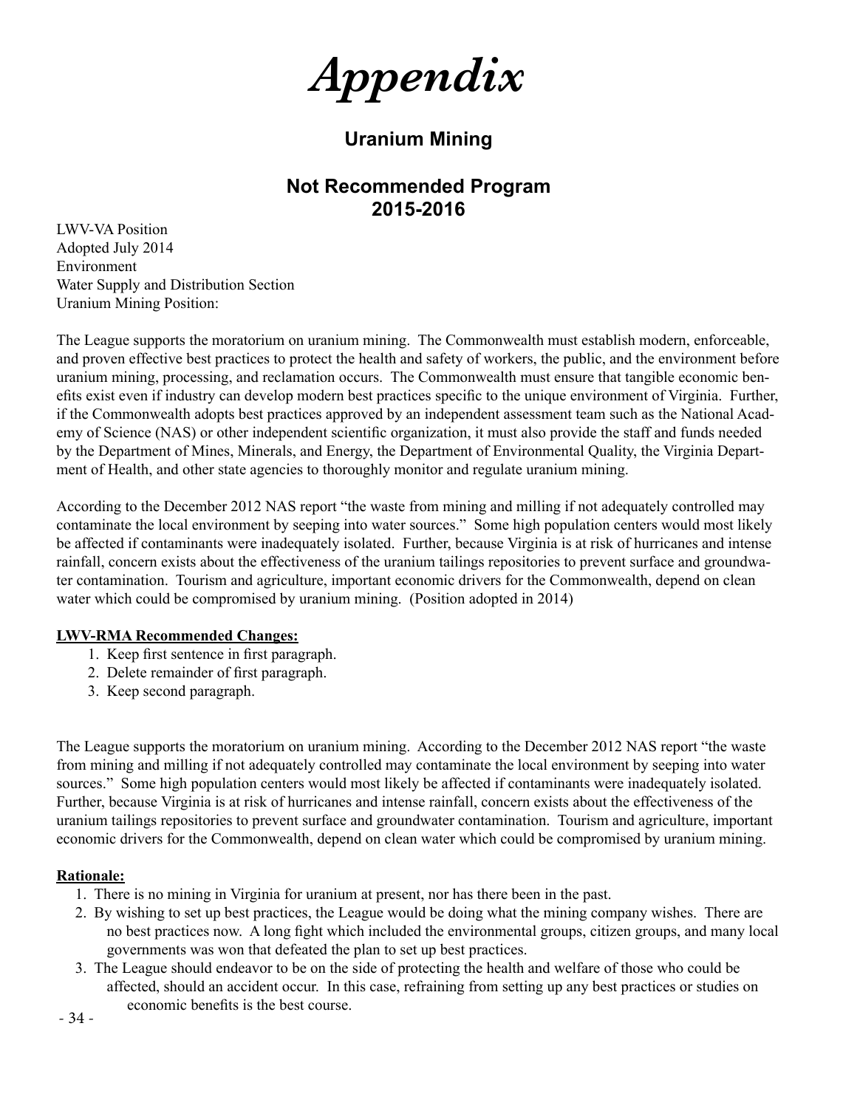*Appendix*

# **Uranium Mining**

# **Not Recommended Program 2015-2016**

LWV-VA Position Adopted July 2014 Environment Water Supply and Distribution Section Uranium Mining Position:

The League supports the moratorium on uranium mining. The Commonwealth must establish modern, enforceable, and proven effective best practices to protect the health and safety of workers, the public, and the environment before uranium mining, processing, and reclamation occurs. The Commonwealth must ensure that tangible economic benefits exist even if industry can develop modern best practices specific to the unique environment of Virginia. Further, if the Commonwealth adopts best practices approved by an independent assessment team such as the National Academy of Science (NAS) or other independent scientific organization, it must also provide the staff and funds needed by the Department of Mines, Minerals, and Energy, the Department of Environmental Quality, the Virginia Department of Health, and other state agencies to thoroughly monitor and regulate uranium mining.

According to the December 2012 NAS report "the waste from mining and milling if not adequately controlled may contaminate the local environment by seeping into water sources." Some high population centers would most likely be affected if contaminants were inadequately isolated. Further, because Virginia is at risk of hurricanes and intense rainfall, concern exists about the effectiveness of the uranium tailings repositories to prevent surface and groundwater contamination. Tourism and agriculture, important economic drivers for the Commonwealth, depend on clean water which could be compromised by uranium mining. (Position adopted in 2014)

#### **LWV-RMA Recommended Changes:**

- 1. Keep first sentence in first paragraph.
- 2. Delete remainder of first paragraph.
- 3. Keep second paragraph.

The League supports the moratorium on uranium mining. According to the December 2012 NAS report "the waste from mining and milling if not adequately controlled may contaminate the local environment by seeping into water sources." Some high population centers would most likely be affected if contaminants were inadequately isolated. Further, because Virginia is at risk of hurricanes and intense rainfall, concern exists about the effectiveness of the uranium tailings repositories to prevent surface and groundwater contamination. Tourism and agriculture, important economic drivers for the Commonwealth, depend on clean water which could be compromised by uranium mining.

#### **Rationale:**

- 1. There is no mining in Virginia for uranium at present, nor has there been in the past.
- 2. By wishing to set up best practices, the League would be doing what the mining company wishes. There are no best practices now. A long fight which included the environmental groups, citizen groups, and many local governments was won that defeated the plan to set up best practices.
- 3. The League should endeavor to be on the side of protecting the health and welfare of those who could be affected, should an accident occur. In this case, refraining from setting up any best practices or studies on economic benefits is the best course.